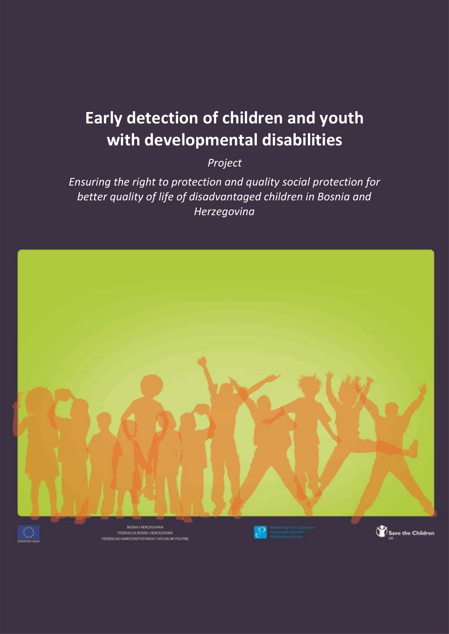# **Early detection of children and youth with developmental disabilities**

*Project*

*Ensuring the right to protection and quality social protection for better quality of life of disadvantaged children in Bosnia and Herzegovina*





BOSNA I HERCEGOWNA PEDERACIJA BOSNE I HERCEGOVINE<br>FEDERALNO MINETARSTVO RADA I SOCIALINE POLITIKE



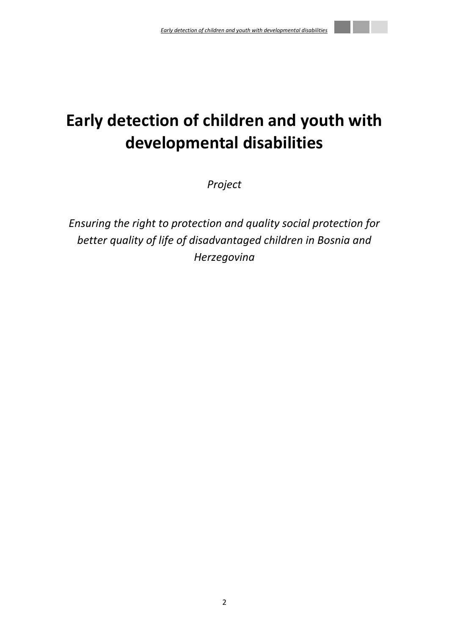# **Early detection of children and youth with developmental disabilities**

*Project*

*Ensuring the right to protection and quality social protection for better quality of life of disadvantaged children in Bosnia and Herzegovina*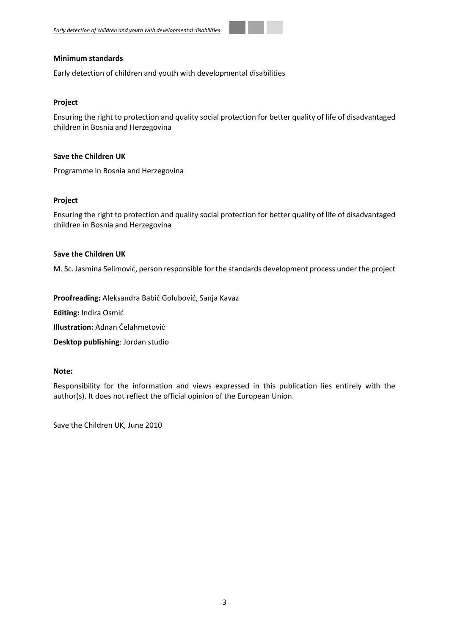#### **Minimum standards**

Early detection of children and youth with developmental disabilities

#### **Project**

Ensuring the right to protection and quality social protection for better quality of life of disadvantaged children in Bosnia and Herzegovina

#### **Save the Children UK**

Programme in Bosnia and Herzegovina

#### **Project**

Ensuring the right to protection and quality social protection for better quality of life of disadvantaged children in Bosnia and Herzegovina

#### **Save the Children UK**

M. Sc. Jasmina Selimović, person responsible for the standards development process under the project

**Proofreading:** Aleksandra Babić Golubović, Sanja Kavaz

**Editing:** Indira Osmić

**Illustration:** Adnan Ćelahmetović

**Desktop publishing**: Jordan studio

#### **Note:**

Responsibility for the information and views expressed in this publication lies entirely with the author(s). It does not reflect the official opinion of the European Union.

Save the Children UK, June 2010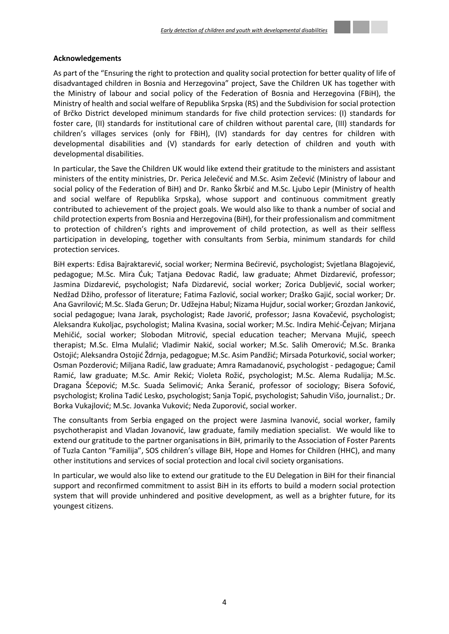## **Acknowledgements**

As part of the "Ensuring the right to protection and quality social protection for better quality of life of disadvantaged children in Bosnia and Herzegovina" project, Save the Children UK has together with the Ministry of labour and social policy of the Federation of Bosnia and Herzegovina (FBiH), the Ministry of health and social welfare of Republika Srpska (RS) and the Subdivision for social protection of Brčko District developed minimum standards for five child protection services: (I) standards for foster care, (II) standards for institutional care of children without parental care, (III) standards for children's villages services (only for FBiH), (IV) standards for day centres for children with developmental disabilities and (V) standards for early detection of children and youth with developmental disabilities.

In particular, the Save the Children UK would like extend their gratitude to the ministers and assistant ministers of the entity ministries, Dr. Perica Jelečević and M.Sc. Asim Zečević (Ministry of labour and social policy of the Federation of BiH) and Dr. Ranko Škrbić and M.Sc. Ljubo Lepir (Ministry of health and social welfare of Republika Srpska), whose support and continuous commitment greatly contributed to achievement of the project goals. We would also like to thank a number of social and child protection experts from Bosnia and Herzegovina (BiH), for their professionalism and commitment to protection of children's rights and improvement of child protection, as well as their selfless participation in developing, together with consultants from Serbia, minimum standards for child protection services.

BiH experts: Edisa Bajraktarević, social worker; Nermina Bećirević, psychologist; Svjetlana Blagojević, pedagogue; M.Sc. Mira Ćuk; Tatjana Đedovac Radić, law graduate; Ahmet Dizdarević, professor; Jasmina Dizdarević, psychologist; Nafa Dizdarević, social worker; Zorica Dubljević, social worker; Nedžad Džiho, professor of literature; Fatima Fazlović, social worker; Draško Gajić, social worker; Dr. Ana Gavrilović; M.Sc. Slađa Gerun; Dr. Udžejna Habul; Nizama Hujdur, social worker; Grozdan Janković, social pedagogue; Ivana Jarak, psychologist; Rade Javorić, professor; Jasna Kovačević, psychologist; Aleksandra Kukoljac, psychologist; Malina Kvasina, social worker; M.Sc. Indira Mehić-Čejvan; Mirjana Mehičić, social worker; Slobodan Mitrović, special education teacher; Mervana Mujić, speech therapist; M.Sc. Elma Mulalić; Vladimir Nakić, social worker; M.Sc. Salih Omerović; M.Sc. Branka Ostojić; Aleksandra Ostojić Ždrnja, pedagogue; M.Sc. Asim Pandžić; Mirsada Poturković, social worker; Osman Pozderović; Miljana Radić, law graduate; Amra Ramadanović, psychologist - pedagogue; Ćamil Ramić, law graduate; M.Sc. Amir Rekić; Violeta Rožić, psychologist; M.Sc. Alema Rudalija; M.Sc. Dragana Šćepović; M.Sc. Suada Selimović; Anka Šeranić, professor of sociology; Bisera Sofović, psychologist; Krolina Tadić Lesko, psychologist; Sanja Topić, psychologist; Sahudin Višo, journalist.; Dr. Borka Vukajlović; M.Sc. Jovanka Vuković; Neda Zuporović, social worker.

The consultants from Serbia engaged on the project were Jasmina Ivanović, social worker, family psychotherapist and Vladan Jovanović, law graduate, family mediation specialist. We would like to extend our gratitude to the partner organisations in BiH, primarily to the Association of Foster Parents of Tuzla Canton "Familija", SOS children's village BiH, Hope and Homes for Children (HHC), and many other institutions and services of social protection and local civil society organisations.

In particular, we would also like to extend our gratitude to the EU Delegation in BiH for their financial support and reconfirmed commitment to assist BiH in its efforts to build a modern social protection system that will provide unhindered and positive development, as well as a brighter future, for its youngest citizens.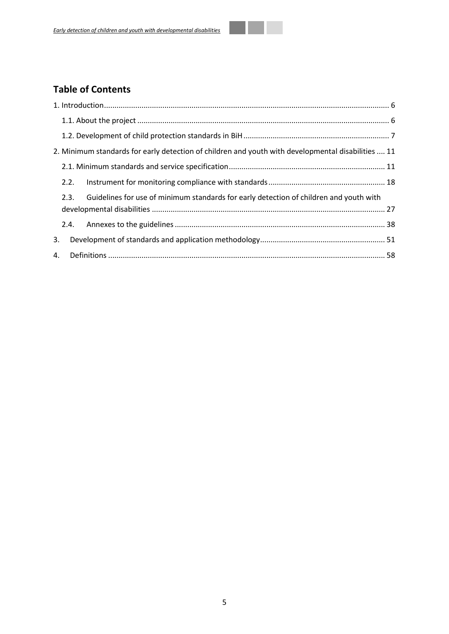# **Table of Contents**

|    |      | 2. Minimum standards for early detection of children and youth with developmental disabilities  11 |  |  |  |  |  |  |  |
|----|------|----------------------------------------------------------------------------------------------------|--|--|--|--|--|--|--|
|    |      |                                                                                                    |  |  |  |  |  |  |  |
|    | 2.2. |                                                                                                    |  |  |  |  |  |  |  |
|    | 2.3. | Guidelines for use of minimum standards for early detection of children and youth with             |  |  |  |  |  |  |  |
|    |      |                                                                                                    |  |  |  |  |  |  |  |
|    |      |                                                                                                    |  |  |  |  |  |  |  |
| 3. |      |                                                                                                    |  |  |  |  |  |  |  |
| 4. |      |                                                                                                    |  |  |  |  |  |  |  |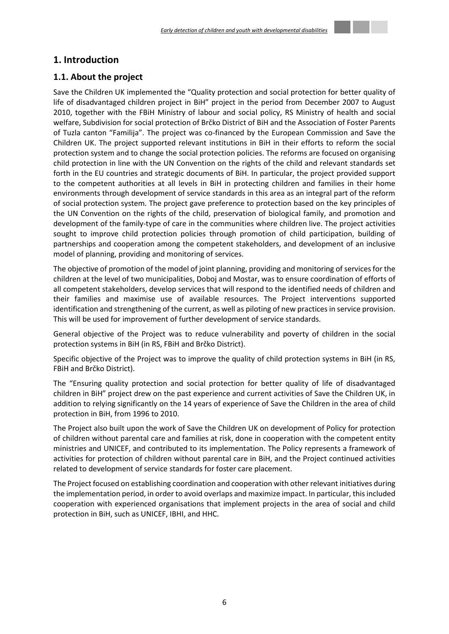## <span id="page-5-0"></span>**1. Introduction**

## <span id="page-5-1"></span>**1.1. About the project**

Save the Children UK implemented the "Quality protection and social protection for better quality of life of disadvantaged children project in BiH" project in the period from December 2007 to August 2010, together with the FBiH Ministry of labour and social policy, RS Ministry of health and social welfare, Subdivision for social protection of Brčko District of BiH and the Association of Foster Parents of Tuzla canton "Familija". The project was co-financed by the European Commission and Save the Children UK. The project supported relevant institutions in BiH in their efforts to reform the social protection system and to change the social protection policies. The reforms are focused on organising child protection in line with the UN Convention on the rights of the child and relevant standards set forth in the EU countries and strategic documents of BiH. In particular, the project provided support to the competent authorities at all levels in BiH in protecting children and families in their home environments through development of service standards in this area as an integral part of the reform of social protection system. The project gave preference to protection based on the key principles of the UN Convention on the rights of the child, preservation of biological family, and promotion and development of the family-type of care in the communities where children live. The project activities sought to improve child protection policies through promotion of child participation, building of partnerships and cooperation among the competent stakeholders, and development of an inclusive model of planning, providing and monitoring of services.

The objective of promotion of the model of joint planning, providing and monitoring of services for the children at the level of two municipalities, Doboj and Mostar, was to ensure coordination of efforts of all competent stakeholders, develop services that will respond to the identified needs of children and their families and maximise use of available resources. The Project interventions supported identification and strengthening of the current, as well as piloting of new practices in service provision. This will be used for improvement of further development of service standards.

General objective of the Project was to reduce vulnerability and poverty of children in the social protection systems in BiH (in RS, FBiH and Brčko District).

Specific objective of the Project was to improve the quality of child protection systems in BiH (in RS, FBiH and Brčko District).

The "Ensuring quality protection and social protection for better quality of life of disadvantaged children in BiH" project drew on the past experience and current activities of Save the Children UK, in addition to relying significantly on the 14 years of experience of Save the Children in the area of child protection in BiH, from 1996 to 2010.

The Project also built upon the work of Save the Children UK on development of Policy for protection of children without parental care and families at risk, done in cooperation with the competent entity ministries and UNICEF, and contributed to its implementation. The Policy represents a framework of activities for protection of children without parental care in BiH, and the Project continued activities related to development of service standards for foster care placement.

<span id="page-5-2"></span>The Project focused on establishing coordination and cooperation with other relevant initiatives during the implementation period, in order to avoid overlaps and maximize impact. In particular, this included cooperation with experienced organisations that implement projects in the area of social and child protection in BiH, such as UNICEF, IBHI, and HHC.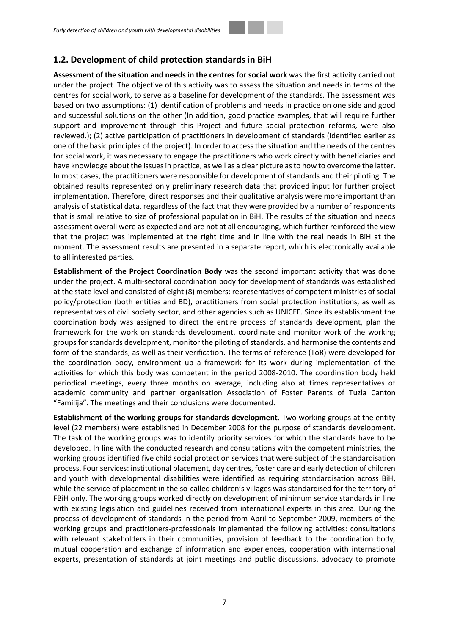## **1.2. Development of child protection standards in BiH**

**Assessment of the situation and needs in the centres for social work** was the first activity carried out under the project. The objective of this activity was to assess the situation and needs in terms of the centres for social work, to serve as a baseline for development of the standards. The assessment was based on two assumptions: (1) identification of problems and needs in practice on one side and good and successful solutions on the other (In addition, good practice examples, that will require further support and improvement through this Project and future social protection reforms, were also reviewed.); (2) active participation of practitioners in development of standards (identified earlier as one of the basic principles of the project). In order to access the situation and the needs of the centres for social work, it was necessary to engage the practitioners who work directly with beneficiaries and have knowledge about the issues in practice, as well as a clear picture as to how to overcome the latter. In most cases, the practitioners were responsible for development of standards and their piloting. The obtained results represented only preliminary research data that provided input for further project implementation. Therefore, direct responses and their qualitative analysis were more important than analysis of statistical data, regardless of the fact that they were provided by a number of respondents that is small relative to size of professional population in BiH. The results of the situation and needs assessment overall were as expected and are not at all encouraging, which further reinforced the view that the project was implemented at the right time and in line with the real needs in BiH at the moment. The assessment results are presented in a separate report, which is electronically available to all interested parties.

**Establishment of the Project Coordination Body** was the second important activity that was done under the project. A multi-sectoral coordination body for development of standards was established at the state level and consisted of eight (8) members: representatives of competent ministries of social policy/protection (both entities and BD), practitioners from social protection institutions, as well as representatives of civil society sector, and other agencies such as UNICEF. Since its establishment the coordination body was assigned to direct the entire process of standards development, plan the framework for the work on standards development, coordinate and monitor work of the working groups for standards development, monitor the piloting of standards, and harmonise the contents and form of the standards, as well as their verification. The terms of reference (ToR) were developed for the coordination body, environment up a framework for its work during implementation of the activities for which this body was competent in the period 2008-2010. The coordination body held periodical meetings, every three months on average, including also at times representatives of academic community and partner organisation Association of Foster Parents of Tuzla Canton "Familija". The meetings and their conclusions were documented.

**Establishment of the working groups for standards development.** Two working groups at the entity level (22 members) were established in December 2008 for the purpose of standards development. The task of the working groups was to identify priority services for which the standards have to be developed. In line with the conducted research and consultations with the competent ministries, the working groups identified five child social protection services that were subject of the standardisation process. Four services: institutional placement, day centres, foster care and early detection of children and youth with developmental disabilities were identified as requiring standardisation across BiH, while the service of placement in the so-called children's villages was standardised for the territory of FBiH only. The working groups worked directly on development of minimum service standards in line with existing legislation and guidelines received from international experts in this area. During the process of development of standards in the period from April to September 2009, members of the working groups and practitioners-professionals implemented the following activities: consultations with relevant stakeholders in their communities, provision of feedback to the coordination body, mutual cooperation and exchange of information and experiences, cooperation with international experts, presentation of standards at joint meetings and public discussions, advocacy to promote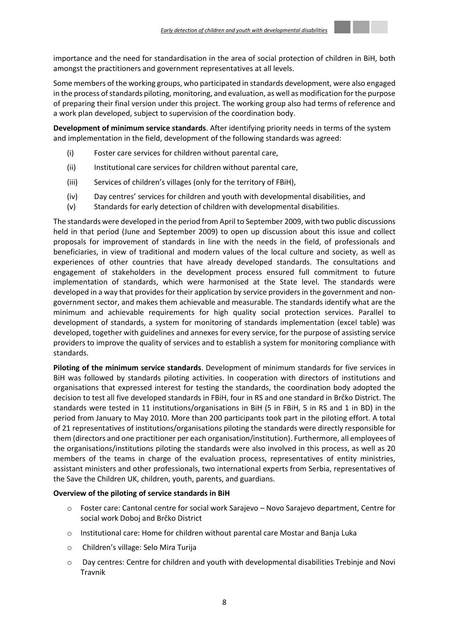

importance and the need for standardisation in the area of social protection of children in BiH, both amongst the practitioners and government representatives at all levels.

Some members of the working groups, who participated in standards development, were also engaged in the process of standards piloting, monitoring, and evaluation, as well as modification for the purpose of preparing their final version under this project. The working group also had terms of reference and a work plan developed, subject to supervision of the coordination body.

**Development of minimum service standards**. After identifying priority needs in terms of the system and implementation in the field, development of the following standards was agreed:

- (i) Foster care services for children without parental care,
- (ii) Institutional care services for children without parental care,
- (iii) Services of children's villages (only for the territory of FBiH),
- (iv) Day centres' services for children and youth with developmental disabilities, and
- (v) Standards for early detection of children with developmental disabilities.

The standards were developed in the period from April to September 2009, with two public discussions held in that period (June and September 2009) to open up discussion about this issue and collect proposals for improvement of standards in line with the needs in the field, of professionals and beneficiaries, in view of traditional and modern values of the local culture and society, as well as experiences of other countries that have already developed standards. The consultations and engagement of stakeholders in the development process ensured full commitment to future implementation of standards, which were harmonised at the State level. The standards were developed in a way that provides for their application by service providers in the government and nongovernment sector, and makes them achievable and measurable. The standards identify what are the minimum and achievable requirements for high quality social protection services. Parallel to development of standards, a system for monitoring of standards implementation (excel table) was developed, together with guidelines and annexes for every service, for the purpose of assisting service providers to improve the quality of services and to establish a system for monitoring compliance with standards.

**Piloting of the minimum service standards**. Development of minimum standards for five services in BiH was followed by standards piloting activities. In cooperation with directors of institutions and organisations that expressed interest for testing the standards, the coordination body adopted the decision to test all five developed standards in FBiH, four in RS and one standard in Brčko District. The standards were tested in 11 institutions/organisations in BiH (5 in FBiH, 5 in RS and 1 in BD) in the period from January to May 2010. More than 200 participants took part in the piloting effort. A total of 21 representatives of institutions/organisations piloting the standards were directly responsible for them (directors and one practitioner per each organisation/institution). Furthermore, all employees of the organisations/institutions piloting the standards were also involved in this process, as well as 20 members of the teams in charge of the evaluation process, representatives of entity ministries, assistant ministers and other professionals, two international experts from Serbia, representatives of the Save the Children UK, children, youth, parents, and guardians.

## **Overview of the piloting of service standards in BiH**

- o Foster care: Cantonal centre for social work Sarajevo Novo Sarajevo department, Centre for social work Doboj and Brčko District
- o Institutional care: Home for children without parental care Mostar and Banja Luka
- o Children's village: Selo Mira Turija
- o Day centres: Centre for children and youth with developmental disabilities Trebinje and Novi Travnik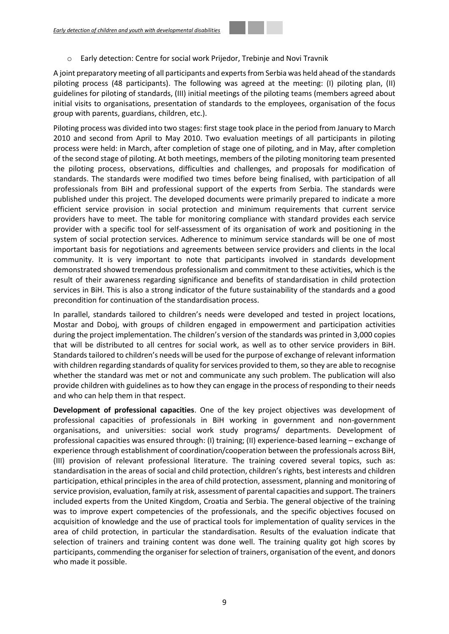o Early detection: Centre for social work Prijedor, Trebinje and Novi Travnik

A joint preparatory meeting of all participants and experts from Serbia was held ahead of the standards piloting process (48 participants). The following was agreed at the meeting: (I) piloting plan, (II) guidelines for piloting of standards, (III) initial meetings of the piloting teams (members agreed about initial visits to organisations, presentation of standards to the employees, organisation of the focus group with parents, guardians, children, etc.).

Piloting process was divided into two stages: first stage took place in the period from January to March 2010 and second from April to May 2010. Two evaluation meetings of all participants in piloting process were held: in March, after completion of stage one of piloting, and in May, after completion of the second stage of piloting. At both meetings, members of the piloting monitoring team presented the piloting process, observations, difficulties and challenges, and proposals for modification of standards. The standards were modified two times before being finalised, with participation of all professionals from BiH and professional support of the experts from Serbia. The standards were published under this project. The developed documents were primarily prepared to indicate a more efficient service provision in social protection and minimum requirements that current service providers have to meet. The table for monitoring compliance with standard provides each service provider with a specific tool for self-assessment of its organisation of work and positioning in the system of social protection services. Adherence to minimum service standards will be one of most important basis for negotiations and agreements between service providers and clients in the local community. It is very important to note that participants involved in standards development demonstrated showed tremendous professionalism and commitment to these activities, which is the result of their awareness regarding significance and benefits of standardisation in child protection services in BiH. This is also a strong indicator of the future sustainability of the standards and a good precondition for continuation of the standardisation process.

In parallel, standards tailored to children's needs were developed and tested in project locations, Mostar and Doboj, with groups of children engaged in empowerment and participation activities during the project implementation. The children's version of the standards was printed in 3,000 copies that will be distributed to all centres for social work, as well as to other service providers in BiH. Standards tailored to children's needs will be used for the purpose of exchange of relevant information with children regarding standards of quality for services provided to them, so they are able to recognise whether the standard was met or not and communicate any such problem. The publication will also provide children with guidelines as to how they can engage in the process of responding to their needs and who can help them in that respect.

**Development of professional capacities**. One of the key project objectives was development of professional capacities of professionals in BiH working in government and non-government organisations, and universities: social work study programs/ departments. Development of professional capacities was ensured through: (I) training; (II) experience-based learning – exchange of experience through establishment of coordination/cooperation between the professionals across BiH, (III) provision of relevant professional literature. The training covered several topics, such as: standardisation in the areas of social and child protection, children's rights, best interests and children participation, ethical principles in the area of child protection, assessment, planning and monitoring of service provision, evaluation, family at risk, assessment of parental capacities and support. The trainers included experts from the United Kingdom, Croatia and Serbia. The general objective of the training was to improve expert competencies of the professionals, and the specific objectives focused on acquisition of knowledge and the use of practical tools for implementation of quality services in the area of child protection, in particular the standardisation. Results of the evaluation indicate that selection of trainers and training content was done well. The training quality got high scores by participants, commending the organiser for selection of trainers, organisation of the event, and donors who made it possible.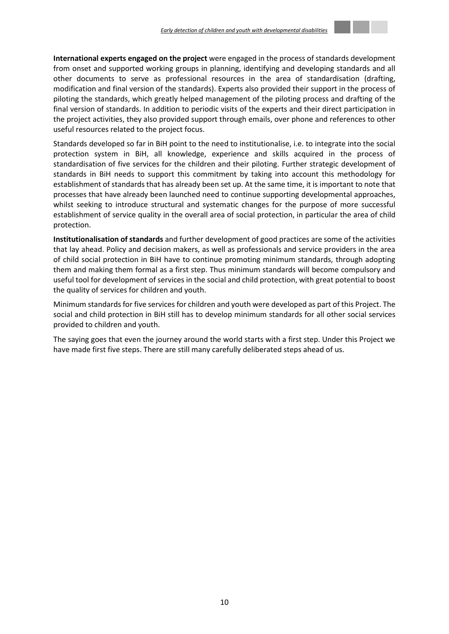**International experts engaged on the project** were engaged in the process of standards development from onset and supported working groups in planning, identifying and developing standards and all other documents to serve as professional resources in the area of standardisation (drafting, modification and final version of the standards). Experts also provided their support in the process of piloting the standards, which greatly helped management of the piloting process and drafting of the final version of standards. In addition to periodic visits of the experts and their direct participation in the project activities, they also provided support through emails, over phone and references to other useful resources related to the project focus.

Standards developed so far in BiH point to the need to institutionalise, i.e. to integrate into the social protection system in BiH, all knowledge, experience and skills acquired in the process of standardisation of five services for the children and their piloting. Further strategic development of standards in BiH needs to support this commitment by taking into account this methodology for establishment of standards that has already been set up. At the same time, it is important to note that processes that have already been launched need to continue supporting developmental approaches, whilst seeking to introduce structural and systematic changes for the purpose of more successful establishment of service quality in the overall area of social protection, in particular the area of child protection.

**Institutionalisation of standards** and further development of good practices are some of the activities that lay ahead. Policy and decision makers, as well as professionals and service providers in the area of child social protection in BiH have to continue promoting minimum standards, through adopting them and making them formal as a first step. Thus minimum standards will become compulsory and useful tool for development of services in the social and child protection, with great potential to boost the quality of services for children and youth.

Minimum standards for five services for children and youth were developed as part of this Project. The social and child protection in BiH still has to develop minimum standards for all other social services provided to children and youth.

The saying goes that even the journey around the world starts with a first step. Under this Project we have made first five steps. There are still many carefully deliberated steps ahead of us.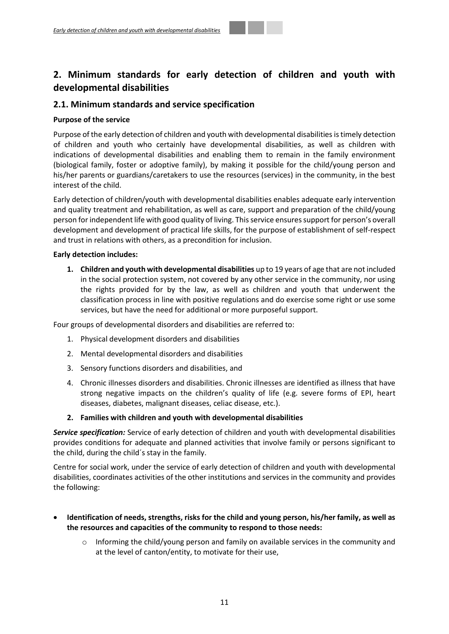# <span id="page-10-0"></span>**2. Minimum standards for early detection of children and youth with developmental disabilities**

## <span id="page-10-1"></span>**2.1. Minimum standards and service specification**

## **Purpose of the service**

Purpose of the early detection of children and youth with developmental disabilities is timely detection of children and youth who certainly have developmental disabilities, as well as children with indications of developmental disabilities and enabling them to remain in the family environment (biological family, foster or adoptive family), by making it possible for the child/young person and his/her parents or guardians/caretakers to use the resources (services) in the community, in the best interest of the child.

Early detection of children/youth with developmental disabilities enables adequate early intervention and quality treatment and rehabilitation, as well as care, support and preparation of the child/young person for independent life with good quality of living. This service ensures support for person's overall development and development of practical life skills, for the purpose of establishment of self-respect and trust in relations with others, as a precondition for inclusion.

## **Early detection includes:**

**1. Children and youth with developmental disabilities** up to 19 years of age that are not included in the social protection system, not covered by any other service in the community, nor using the rights provided for by the law, as well as children and youth that underwent the classification process in line with positive regulations and do exercise some right or use some services, but have the need for additional or more purposeful support.

Four groups of developmental disorders and disabilities are referred to:

- 1. Physical development disorders and disabilities
- 2. Mental developmental disorders and disabilities
- 3. Sensory functions disorders and disabilities, and
- 4. Chronic illnesses disorders and disabilities. Chronic illnesses are identified as illness that have strong negative impacts on the children's quality of life (e.g. severe forms of EPI, heart diseases, diabetes, malignant diseases, celiac disease, etc.).

## **2. Families with children and youth with developmental disabilities**

*Service specification:* Service of early detection of children and youth with developmental disabilities provides conditions for adequate and planned activities that involve family or persons significant to the child, during the child´s stay in the family.

Centre for social work, under the service of early detection of children and youth with developmental disabilities, coordinates activities of the other institutions and services in the community and provides the following:

## **Identification of needs, strengths, risks for the child and young person, his/her family, as well as the resources and capacities of the community to respond to those needs:**

 $\circ$  Informing the child/young person and family on available services in the community and at the level of canton/entity, to motivate for their use,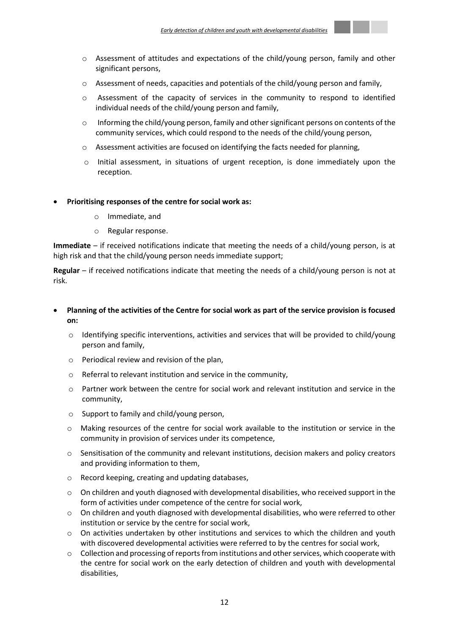

- $\circ$  Assessment of needs, capacities and potentials of the child/young person and family,
- $\circ$  Assessment of the capacity of services in the community to respond to identified individual needs of the child/young person and family,
- o Informing the child/young person, family and other significant persons on contents of the community services, which could respond to the needs of the child/young person,
- $\circ$  Assessment activities are focused on identifying the facts needed for planning,
- $\circ$  Initial assessment, in situations of urgent reception, is done immediately upon the reception.

#### **Prioritising responses of the centre for social work as:**

- o Immediate, and
- o Regular response.

**Immediate** – if received notifications indicate that meeting the needs of a child/young person, is at high risk and that the child/young person needs immediate support;

**Regular** – if received notifications indicate that meeting the needs of a child/young person is not at risk.

## **Planning of the activities of the Centre for social work as part of the service provision is focused on:**

- $\circ$  Identifying specific interventions, activities and services that will be provided to child/young person and family,
- o Periodical review and revision of the plan,
- o Referral to relevant institution and service in the community,
- $\circ$  Partner work between the centre for social work and relevant institution and service in the community,
- o Support to family and child/young person,
- o Making resources of the centre for social work available to the institution or service in the community in provision of services under its competence,
- o Sensitisation of the community and relevant institutions, decision makers and policy creators and providing information to them,
- o Record keeping, creating and updating databases,
- $\circ$  On children and youth diagnosed with developmental disabilities, who received support in the form of activities under competence of the centre for social work,
- $\circ$  On children and youth diagnosed with developmental disabilities, who were referred to other institution or service by the centre for social work,
- o On activities undertaken by other institutions and services to which the children and youth with discovered developmental activities were referred to by the centres for social work,
- $\circ$  Collection and processing of reports from institutions and other services, which cooperate with the centre for social work on the early detection of children and youth with developmental disabilities,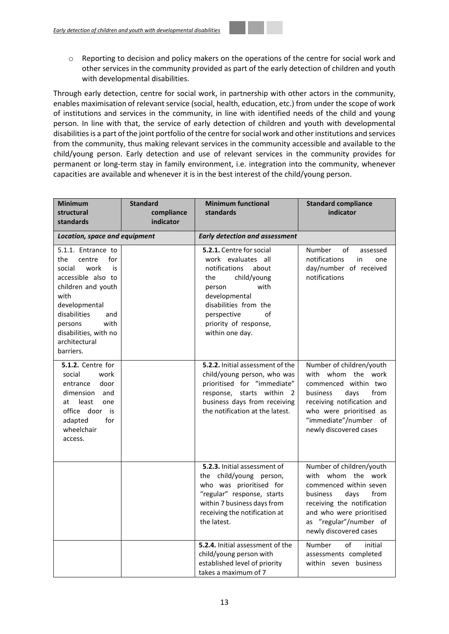o Reporting to decision and policy makers on the operations of the centre for social work and other services in the community provided as part of the early detection of children and youth with developmental disabilities.

Through early detection, centre for social work, in partnership with other actors in the community, enables maximisation of relevant service (social, health, education, etc.) from under the scope of work of institutions and services in the community, in line with identified needs of the child and young person. In line with that, the service of early detection of children and youth with developmental disabilities is a part of the joint portfolio of the centre for social work and other institutions and services from the community, thus making relevant services in the community accessible and available to the child/young person. Early detection and use of relevant services in the community provides for permanent or long-term stay in family environment, i.e. integration into the community, whenever capacities are available and whenever it is in the best interest of the child/young person.

| <b>Minimum</b><br>structural                                                                                                                                                                                                             | <b>Standard</b><br>compliance | <b>Minimum functional</b><br>standards                                                                                                                                                                                             | <b>Standard compliance</b><br>indicator                                                                                                                                                                            |  |  |  |  |  |
|------------------------------------------------------------------------------------------------------------------------------------------------------------------------------------------------------------------------------------------|-------------------------------|------------------------------------------------------------------------------------------------------------------------------------------------------------------------------------------------------------------------------------|--------------------------------------------------------------------------------------------------------------------------------------------------------------------------------------------------------------------|--|--|--|--|--|
| standards                                                                                                                                                                                                                                | indicator                     |                                                                                                                                                                                                                                    |                                                                                                                                                                                                                    |  |  |  |  |  |
| Location, space and equipment                                                                                                                                                                                                            |                               | <b>Early detection and assessment</b>                                                                                                                                                                                              |                                                                                                                                                                                                                    |  |  |  |  |  |
| 5.1.1. Entrance to<br>the<br>centre<br>for<br>work<br>social<br>is<br>accessible also to<br>children and youth<br>with<br>developmental<br>disabilities<br>and<br>with<br>persons<br>disabilities, with no<br>architectural<br>barriers. |                               | <b>5.2.1.</b> Centre for social<br>work evaluates all<br>notifications<br>about<br>child/young<br>the<br>with<br>person<br>developmental<br>disabilities from the<br>perspective<br>οf<br>priority of response,<br>within one day. | Number<br>of<br>assessed<br>notifications<br>in<br>one<br>day/number of received<br>notifications                                                                                                                  |  |  |  |  |  |
| 5.1.2. Centre for<br>work<br>social<br>door<br>entrance<br>dimension and<br>least<br>one<br>at<br>office door is<br>adapted<br>for<br>wheelchair<br>access.                                                                              |                               | 5.2.2. Initial assessment of the<br>child/young person, who was<br>prioritised for "immediate"<br>starts within 2<br>response,<br>business days from receiving<br>the notification at the latest.                                  | Number of children/youth<br>with whom the work<br>commenced within two<br>business<br>days<br>from<br>receiving notification and<br>who were prioritised as<br>"immediate"/number<br>of<br>newly discovered cases  |  |  |  |  |  |
|                                                                                                                                                                                                                                          |                               | 5.2.3. Initial assessment of<br>the child/young person,<br>who was prioritised for<br>"regular" response, starts<br>within 7 business days from<br>receiving the notification at<br>the latest.                                    | Number of children/youth<br>with whom the work<br>commenced within seven<br>business<br>days<br>from<br>receiving the notification<br>and who were prioritised<br>as "regular"/number of<br>newly discovered cases |  |  |  |  |  |
|                                                                                                                                                                                                                                          |                               | 5.2.4. Initial assessment of the<br>child/young person with<br>established level of priority<br>takes a maximum of 7                                                                                                               | Number<br>of<br>initial<br>assessments completed<br>within seven business                                                                                                                                          |  |  |  |  |  |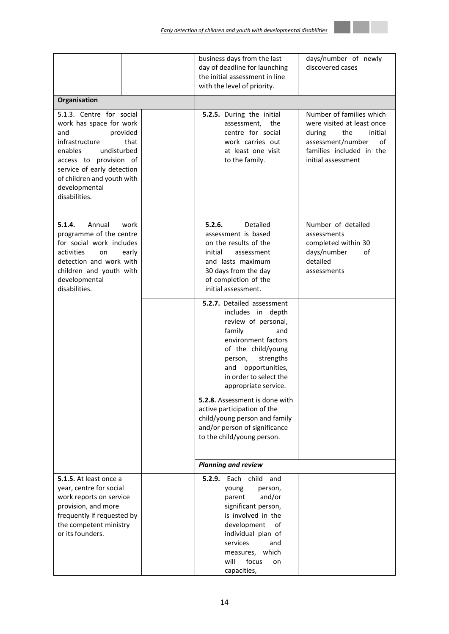|                                                                                                                                                                                                                                                    |  | business days from the last<br>day of deadline for launching<br>the initial assessment in line<br>with the level of priority.                                                                                                                  | days/number of newly<br>discovered cases                                                                                                                        |  |  |  |  |
|----------------------------------------------------------------------------------------------------------------------------------------------------------------------------------------------------------------------------------------------------|--|------------------------------------------------------------------------------------------------------------------------------------------------------------------------------------------------------------------------------------------------|-----------------------------------------------------------------------------------------------------------------------------------------------------------------|--|--|--|--|
| Organisation                                                                                                                                                                                                                                       |  |                                                                                                                                                                                                                                                |                                                                                                                                                                 |  |  |  |  |
| 5.1.3. Centre for social<br>work has space for work<br>and<br>provided<br>infrastructure<br>that<br>enables<br>undisturbed<br>access to provision of<br>service of early detection<br>of children and youth with<br>developmental<br>disabilities. |  | 5.2.5. During the initial<br>assessment,<br>the<br>centre for social<br>work carries out<br>at least one visit<br>to the family.                                                                                                               | Number of families which<br>were visited at least once<br>the<br>initial<br>during<br>assessment/number<br>οf<br>families included in the<br>initial assessment |  |  |  |  |
| 5.1.4.<br>Annual<br>work<br>programme of the centre<br>for social work includes<br>activities<br>on<br>early<br>detection and work with<br>children and youth with<br>developmental<br>disabilities.                                               |  | 5.2.6.<br>Detailed<br>assessment is based<br>on the results of the<br>initial<br>assessment<br>and lasts maximum<br>30 days from the day<br>of completion of the<br>initial assessment.                                                        | Number of detailed<br>assessments<br>completed within 30<br>days/number<br>of<br>detailed<br>assessments                                                        |  |  |  |  |
|                                                                                                                                                                                                                                                    |  | <b>5.2.7.</b> Detailed assessment<br>includes in depth<br>review of personal,<br>family<br>and<br>environment factors<br>of the child/young<br>strengths<br>person,<br>and<br>opportunities,<br>in order to select the<br>appropriate service. |                                                                                                                                                                 |  |  |  |  |
|                                                                                                                                                                                                                                                    |  | 5.2.8. Assessment is done with<br>active participation of the<br>child/young person and family<br>and/or person of significance<br>to the child/young person.                                                                                  |                                                                                                                                                                 |  |  |  |  |
|                                                                                                                                                                                                                                                    |  | <b>Planning and review</b>                                                                                                                                                                                                                     |                                                                                                                                                                 |  |  |  |  |
| 5.1.5. At least once a<br>year, centre for social<br>work reports on service<br>provision, and more<br>frequently if requested by<br>the competent ministry<br>or its founders.                                                                    |  | <b>5.2.9.</b> Each child<br>and<br>young<br>person,<br>and/or<br>parent<br>significant person,<br>is involved in the<br>development<br>of<br>individual plan of<br>services<br>and<br>measures, which<br>will<br>focus<br>on<br>capacities,    |                                                                                                                                                                 |  |  |  |  |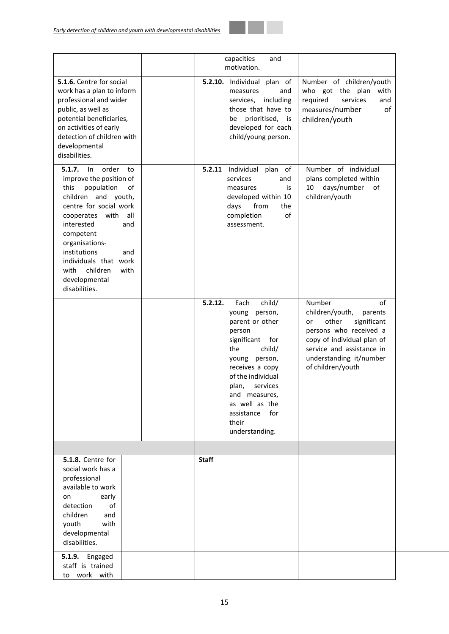

|                                                                                                                                                                                                                                                                                                                                 | capacities<br>and<br>motivation.                                                                                                                                                                                                                                                |                                                                                                                                                                                                               |
|---------------------------------------------------------------------------------------------------------------------------------------------------------------------------------------------------------------------------------------------------------------------------------------------------------------------------------|---------------------------------------------------------------------------------------------------------------------------------------------------------------------------------------------------------------------------------------------------------------------------------|---------------------------------------------------------------------------------------------------------------------------------------------------------------------------------------------------------------|
| 5.1.6. Centre for social<br>work has a plan to inform<br>professional and wider<br>public, as well as<br>potential beneficiaries,<br>on activities of early<br>detection of children with<br>developmental<br>disabilities.                                                                                                     | 5.2.10. Individual plan of<br>measures<br>and<br>services, including<br>those that have to<br>be prioritised, is<br>developed for each<br>child/young person.                                                                                                                   | Number of children/youth<br>who got the plan<br>with<br>required<br>services<br>and<br>of<br>measures/number<br>children/youth                                                                                |
| 5.1.7.<br>order<br>ln<br>to<br>improve the position of<br>this<br>population<br>of<br>children and youth,<br>centre for social work<br>with all<br>cooperates<br>interested<br>and<br>competent<br>organisations-<br>institutions<br>and<br>individuals that work<br>children<br>with<br>with<br>developmental<br>disabilities. | 5.2.11 Individual<br>plan of<br>services<br>and<br>is<br>measures<br>developed within 10<br>from<br>the<br>days<br>completion<br>of<br>assessment.                                                                                                                              | Number of individual<br>plans completed within<br>days/number<br>10<br>of<br>children/youth                                                                                                                   |
|                                                                                                                                                                                                                                                                                                                                 | 5.2.12.<br>Each<br>child/<br>young person,<br>parent or other<br>person<br>for<br>significant<br>child/<br>the<br>young person,<br>receives a copy<br>of the individual<br>plan,<br>services<br>and measures,<br>as well as the<br>for<br>assistance<br>their<br>understanding. | Number<br>of<br>children/youth,<br>parents<br>other<br>significant<br>or<br>persons who received a<br>copy of individual plan of<br>service and assistance in<br>understanding it/number<br>of children/youth |
| <b>5.1.8.</b> Centre for<br>social work has a<br>professional<br>available to work<br>early<br>on<br>detection<br>of<br>children<br>and<br>with<br>youth<br>developmental<br>disabilities.                                                                                                                                      | <b>Staff</b>                                                                                                                                                                                                                                                                    |                                                                                                                                                                                                               |
| <b>5.1.9.</b> Engaged<br>staff is trained<br>to work with                                                                                                                                                                                                                                                                       |                                                                                                                                                                                                                                                                                 |                                                                                                                                                                                                               |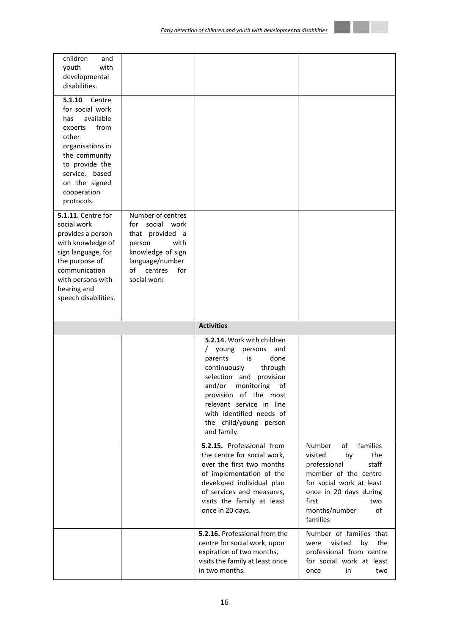| children<br>and<br>with<br>youth<br>developmental<br>disabilities.                                                                                                                                                                                                                                                                                                                                                    |                                                                                                                                                             |                                                                                                                                                                                                                                                                                                               |                                                                                                                                                                                                            |
|-----------------------------------------------------------------------------------------------------------------------------------------------------------------------------------------------------------------------------------------------------------------------------------------------------------------------------------------------------------------------------------------------------------------------|-------------------------------------------------------------------------------------------------------------------------------------------------------------|---------------------------------------------------------------------------------------------------------------------------------------------------------------------------------------------------------------------------------------------------------------------------------------------------------------|------------------------------------------------------------------------------------------------------------------------------------------------------------------------------------------------------------|
| 5.1.10<br>Centre<br>for social work<br>available<br>has<br>from<br>experts<br>other<br>organisations in<br>the community<br>to provide the<br>service, based<br>on the signed<br>cooperation<br>protocols.<br><b>5.1.11.</b> Centre for<br>social work<br>provides a person<br>with knowledge of<br>sign language, for<br>the purpose of<br>communication<br>with persons with<br>hearing and<br>speech disabilities. | Number of centres<br>social work<br>for<br>that provided a<br>with<br>person<br>knowledge of sign<br>language/number<br>centres<br>of<br>for<br>social work |                                                                                                                                                                                                                                                                                                               |                                                                                                                                                                                                            |
|                                                                                                                                                                                                                                                                                                                                                                                                                       |                                                                                                                                                             |                                                                                                                                                                                                                                                                                                               |                                                                                                                                                                                                            |
|                                                                                                                                                                                                                                                                                                                                                                                                                       |                                                                                                                                                             | <b>Activities</b>                                                                                                                                                                                                                                                                                             |                                                                                                                                                                                                            |
|                                                                                                                                                                                                                                                                                                                                                                                                                       |                                                                                                                                                             | 5.2.14. Work with children<br>young<br>persons<br>and<br>$\sqrt{2}$<br>parents<br>is<br>done<br>continuously<br>through<br>selection<br>and provision<br>and/or<br>of<br>monitoring<br>provision of the most<br>relevant service in line<br>with identified needs of<br>the child/young person<br>and family. |                                                                                                                                                                                                            |
|                                                                                                                                                                                                                                                                                                                                                                                                                       |                                                                                                                                                             | 5.2.15. Professional from<br>the centre for social work,<br>over the first two months<br>of implementation of the<br>developed individual plan<br>of services and measures,<br>visits the family at least<br>once in 20 days.                                                                                 | families<br>of<br>Number<br>the<br>visited<br>by<br>professional<br>staff<br>member of the centre<br>for social work at least<br>once in 20 days during<br>first<br>two<br>months/number<br>of<br>families |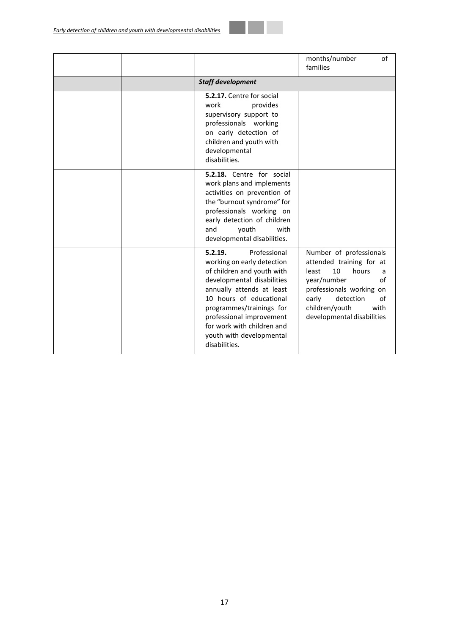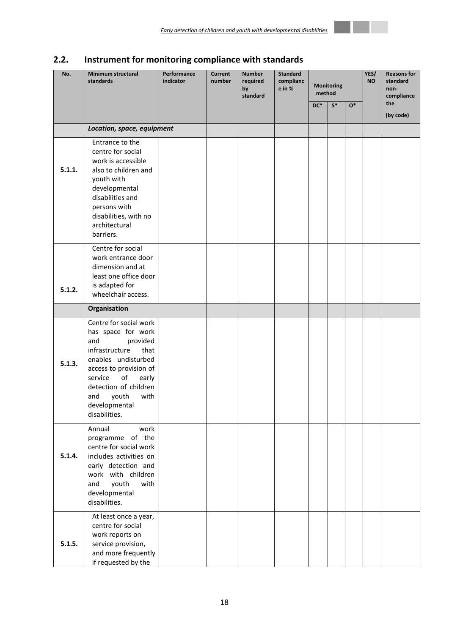# <span id="page-17-0"></span>**2.2. Instrument for monitoring compliance with standards**

| No.    | <b>Minimum structural</b><br>standards                                                                                                                                                                                                                  | Performance<br>indicator | <b>Current</b><br>number | <b>Number</b><br>required<br>by<br>standard | <b>Standard</b><br>complianc<br>e in % | <b>Monitoring</b><br>method |       | YES/<br><b>NO</b> | <b>Reasons for</b><br>standard<br>non-<br>compliance |                  |
|--------|---------------------------------------------------------------------------------------------------------------------------------------------------------------------------------------------------------------------------------------------------------|--------------------------|--------------------------|---------------------------------------------|----------------------------------------|-----------------------------|-------|-------------------|------------------------------------------------------|------------------|
|        |                                                                                                                                                                                                                                                         |                          |                          |                                             |                                        | $DC^*$                      | $S^*$ | $O^*$             |                                                      | the<br>(by code) |
|        | Location, space, equipment                                                                                                                                                                                                                              |                          |                          |                                             |                                        |                             |       |                   |                                                      |                  |
| 5.1.1. | Entrance to the<br>centre for social<br>work is accessible<br>also to children and<br>youth with<br>developmental<br>disabilities and<br>persons with<br>disabilities, with no<br>architectural<br>barriers.                                            |                          |                          |                                             |                                        |                             |       |                   |                                                      |                  |
| 5.1.2. | Centre for social<br>work entrance door<br>dimension and at<br>least one office door<br>is adapted for<br>wheelchair access.                                                                                                                            |                          |                          |                                             |                                        |                             |       |                   |                                                      |                  |
|        | Organisation                                                                                                                                                                                                                                            |                          |                          |                                             |                                        |                             |       |                   |                                                      |                  |
| 5.1.3. | Centre for social work<br>has space for work<br>and<br>provided<br>infrastructure<br>that<br>enables undisturbed<br>access to provision of<br>of<br>service<br>early<br>detection of children<br>with<br>and<br>youth<br>developmental<br>disabilities. |                          |                          |                                             |                                        |                             |       |                   |                                                      |                  |
| 5.1.4. | Annual<br>work<br>programme of the<br>centre for social work<br>includes activities on<br>early detection and<br>work with children<br>youth<br>with<br>and<br>developmental<br>disabilities.                                                           |                          |                          |                                             |                                        |                             |       |                   |                                                      |                  |
| 5.1.5. | At least once a year,<br>centre for social<br>work reports on<br>service provision,<br>and more frequently<br>if requested by the                                                                                                                       |                          |                          |                                             |                                        |                             |       |                   |                                                      |                  |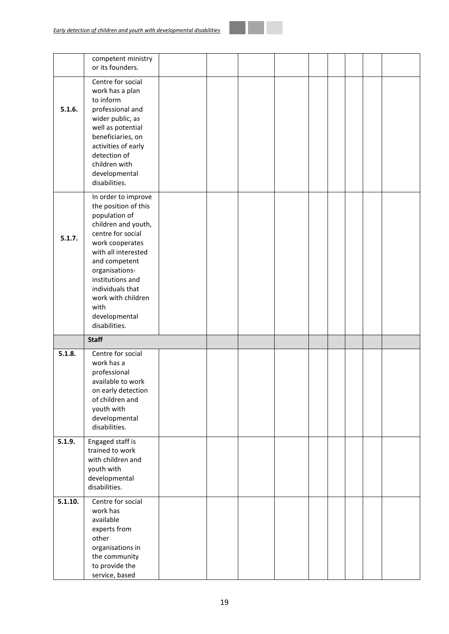|         | competent ministry<br>or its founders.                                                                                                                                                                                                                                                        |  |  |  |  |  |
|---------|-----------------------------------------------------------------------------------------------------------------------------------------------------------------------------------------------------------------------------------------------------------------------------------------------|--|--|--|--|--|
| 5.1.6.  | Centre for social<br>work has a plan<br>to inform<br>professional and<br>wider public, as<br>well as potential<br>beneficiaries, on<br>activities of early<br>detection of<br>children with<br>developmental<br>disabilities.                                                                 |  |  |  |  |  |
| 5.1.7.  | In order to improve<br>the position of this<br>population of<br>children and youth,<br>centre for social<br>work cooperates<br>with all interested<br>and competent<br>organisations-<br>institutions and<br>individuals that<br>work with children<br>with<br>developmental<br>disabilities. |  |  |  |  |  |
|         | <b>Staff</b>                                                                                                                                                                                                                                                                                  |  |  |  |  |  |
| 5.1.8.  | Centre for social<br>work has a<br>professional<br>available to work<br>on early detection<br>of children and<br>youth with<br>developmental<br>disabilities.                                                                                                                                 |  |  |  |  |  |
| 5.1.9.  | Engaged staff is<br>trained to work<br>with children and<br>youth with<br>developmental<br>disabilities.                                                                                                                                                                                      |  |  |  |  |  |
| 5.1.10. | Centre for social<br>work has<br>available<br>experts from<br>other<br>organisations in<br>the community<br>to provide the<br>service, based                                                                                                                                                  |  |  |  |  |  |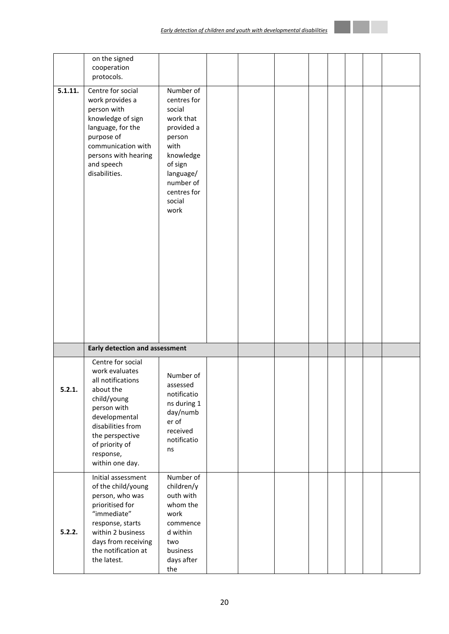|         | on the signed<br>cooperation<br>protocols.                                                                                                                                                                     |                                                                                                                                                                    |  |  |  |  |
|---------|----------------------------------------------------------------------------------------------------------------------------------------------------------------------------------------------------------------|--------------------------------------------------------------------------------------------------------------------------------------------------------------------|--|--|--|--|
| 5.1.11. | Centre for social<br>work provides a<br>person with<br>knowledge of sign<br>language, for the<br>purpose of<br>communication with<br>persons with hearing<br>and speech<br>disabilities.                       | Number of<br>centres for<br>social<br>work that<br>provided a<br>person<br>with<br>knowledge<br>of sign<br>language/<br>number of<br>centres for<br>social<br>work |  |  |  |  |
|         | <b>Early detection and assessment</b>                                                                                                                                                                          |                                                                                                                                                                    |  |  |  |  |
| 5.2.1.  | Centre for social<br>work evaluates<br>all notifications<br>about the<br>child/young<br>person with<br>developmental<br>disabilities from<br>the perspective<br>of priority of<br>response,<br>within one day. | Number of<br>assessed<br>notificatio<br>ns during 1<br>day/numb<br>er of<br>received<br>notificatio<br>ns                                                          |  |  |  |  |
| 5.2.2.  | Initial assessment<br>of the child/young<br>person, who was<br>prioritised for<br>"immediate"<br>response, starts<br>within 2 business<br>days from receiving<br>the notification at<br>the latest.            | Number of<br>children/y<br>outh with<br>whom the<br>work<br>commence<br>d within<br>two<br>business<br>days after<br>the                                           |  |  |  |  |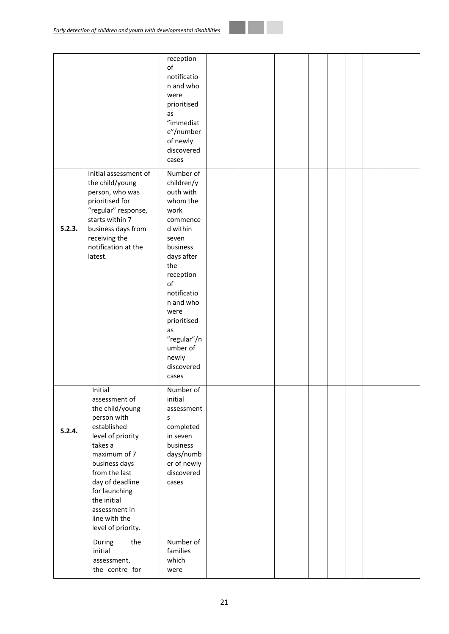|        |                                                                                                                                                                                                                                                                        | reception<br>of<br>notificatio<br>n and who<br>were<br>prioritised<br>as<br>"immediat<br>e"/number<br>of newly<br>discovered<br>cases                                                                                                                             |  |  |  |  |
|--------|------------------------------------------------------------------------------------------------------------------------------------------------------------------------------------------------------------------------------------------------------------------------|-------------------------------------------------------------------------------------------------------------------------------------------------------------------------------------------------------------------------------------------------------------------|--|--|--|--|
| 5.2.3. | Initial assessment of<br>the child/young<br>person, who was<br>prioritised for<br>"regular" response,<br>starts within 7<br>business days from<br>receiving the<br>notification at the<br>latest.                                                                      | Number of<br>children/y<br>outh with<br>whom the<br>work<br>commence<br>d within<br>seven<br>business<br>days after<br>the<br>reception<br>of<br>notificatio<br>n and who<br>were<br>prioritised<br>as<br>"regular"/n<br>umber of<br>newly<br>discovered<br>cases |  |  |  |  |
| 5.2.4. | Initial<br>assessment of<br>the child/young<br>person with<br>established<br>level of priority<br>takes a<br>maximum of 7<br>business days<br>from the last<br>day of deadline<br>for launching<br>the initial<br>assessment in<br>line with the<br>level of priority. | Number of<br>initial<br>assessment<br>S<br>completed<br>in seven<br>business<br>days/numb<br>er of newly<br>discovered<br>cases                                                                                                                                   |  |  |  |  |
|        | the<br>During<br>initial<br>assessment,<br>the centre for                                                                                                                                                                                                              | Number of<br>families<br>which<br>were                                                                                                                                                                                                                            |  |  |  |  |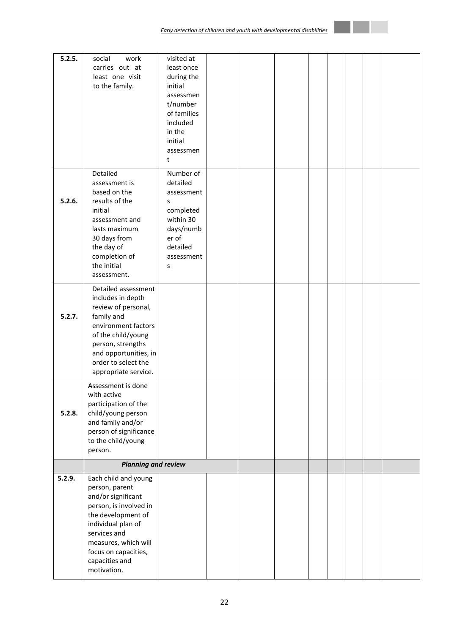| 5.2.5. | social<br>work<br>carries out at<br>least one visit                                                                                                                                                                                 | visited at<br>least once<br>during the                                                                                  |  |  |  |  |
|--------|-------------------------------------------------------------------------------------------------------------------------------------------------------------------------------------------------------------------------------------|-------------------------------------------------------------------------------------------------------------------------|--|--|--|--|
|        | to the family.                                                                                                                                                                                                                      | initial<br>assessmen<br>t/number<br>of families<br>included<br>in the<br>initial<br>assessmen<br>t                      |  |  |  |  |
| 5.2.6. | Detailed<br>assessment is<br>based on the<br>results of the<br>initial<br>assessment and<br>lasts maximum<br>30 days from<br>the day of<br>completion of<br>the initial<br>assessment.                                              | Number of<br>detailed<br>assessment<br>S<br>completed<br>within 30<br>days/numb<br>er of<br>detailed<br>assessment<br>S |  |  |  |  |
| 5.2.7. | Detailed assessment<br>includes in depth<br>review of personal,<br>family and<br>environment factors<br>of the child/young<br>person, strengths<br>and opportunities, in<br>order to select the<br>appropriate service.             |                                                                                                                         |  |  |  |  |
| 5.2.8. | Assessment is done<br>with active<br>participation of the<br>child/young person<br>and family and/or<br>person of significance<br>to the child/young<br>person.                                                                     |                                                                                                                         |  |  |  |  |
|        | <b>Planning and review</b>                                                                                                                                                                                                          |                                                                                                                         |  |  |  |  |
| 5.2.9. | Each child and young<br>person, parent<br>and/or significant<br>person, is involved in<br>the development of<br>individual plan of<br>services and<br>measures, which will<br>focus on capacities,<br>capacities and<br>motivation. |                                                                                                                         |  |  |  |  |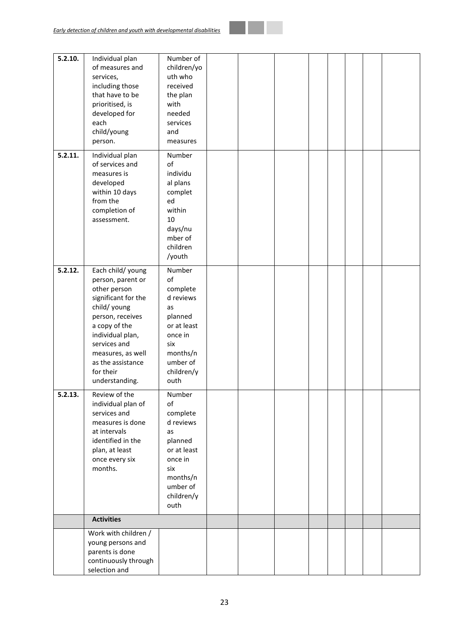| services,<br>uth who<br>including those<br>received<br>that have to be<br>the plan<br>prioritised, is<br>with<br>developed for<br>needed<br>each<br>services<br>child/young<br>and<br>person.<br>measures<br>5.2.11.<br>Individual plan<br>Number<br>of services and<br>of<br>measures is<br>individu<br>developed<br>al plans<br>within 10 days<br>complet<br>from the<br>ed<br>within<br>completion of<br>assessment.<br>10<br>days/nu<br>mber of<br>children<br>/youth<br>5.2.12.<br>Each child/ young<br>Number<br>of<br>person, parent or<br>other person<br>complete<br>significant for the<br>d reviews<br>child/ young<br>as<br>person, receives<br>planned<br>a copy of the<br>or at least<br>individual plan,<br>once in<br>services and<br>six<br>measures, as well<br>months/n<br>umber of<br>as the assistance<br>for their<br>children/y<br>understanding.<br>outh<br>Review of the<br>5.2.13.<br>Number<br>of<br>individual plan of<br>services and<br>complete<br>d reviews<br>measures is done<br>at intervals<br>as<br>identified in the<br>planned<br>or at least<br>plan, at least<br>once in<br>once every six<br>months.<br>six | 5.2.10. | Individual plan | Number of   |  |  |  |  |
|-------------------------------------------------------------------------------------------------------------------------------------------------------------------------------------------------------------------------------------------------------------------------------------------------------------------------------------------------------------------------------------------------------------------------------------------------------------------------------------------------------------------------------------------------------------------------------------------------------------------------------------------------------------------------------------------------------------------------------------------------------------------------------------------------------------------------------------------------------------------------------------------------------------------------------------------------------------------------------------------------------------------------------------------------------------------------------------------------------------------------------------------------------|---------|-----------------|-------------|--|--|--|--|
|                                                                                                                                                                                                                                                                                                                                                                                                                                                                                                                                                                                                                                                                                                                                                                                                                                                                                                                                                                                                                                                                                                                                                       |         | of measures and | children/yo |  |  |  |  |
|                                                                                                                                                                                                                                                                                                                                                                                                                                                                                                                                                                                                                                                                                                                                                                                                                                                                                                                                                                                                                                                                                                                                                       |         |                 |             |  |  |  |  |
|                                                                                                                                                                                                                                                                                                                                                                                                                                                                                                                                                                                                                                                                                                                                                                                                                                                                                                                                                                                                                                                                                                                                                       |         |                 |             |  |  |  |  |
|                                                                                                                                                                                                                                                                                                                                                                                                                                                                                                                                                                                                                                                                                                                                                                                                                                                                                                                                                                                                                                                                                                                                                       |         |                 |             |  |  |  |  |
|                                                                                                                                                                                                                                                                                                                                                                                                                                                                                                                                                                                                                                                                                                                                                                                                                                                                                                                                                                                                                                                                                                                                                       |         |                 |             |  |  |  |  |
|                                                                                                                                                                                                                                                                                                                                                                                                                                                                                                                                                                                                                                                                                                                                                                                                                                                                                                                                                                                                                                                                                                                                                       |         |                 |             |  |  |  |  |
|                                                                                                                                                                                                                                                                                                                                                                                                                                                                                                                                                                                                                                                                                                                                                                                                                                                                                                                                                                                                                                                                                                                                                       |         |                 |             |  |  |  |  |
|                                                                                                                                                                                                                                                                                                                                                                                                                                                                                                                                                                                                                                                                                                                                                                                                                                                                                                                                                                                                                                                                                                                                                       |         |                 |             |  |  |  |  |
|                                                                                                                                                                                                                                                                                                                                                                                                                                                                                                                                                                                                                                                                                                                                                                                                                                                                                                                                                                                                                                                                                                                                                       |         |                 |             |  |  |  |  |
|                                                                                                                                                                                                                                                                                                                                                                                                                                                                                                                                                                                                                                                                                                                                                                                                                                                                                                                                                                                                                                                                                                                                                       |         |                 |             |  |  |  |  |
|                                                                                                                                                                                                                                                                                                                                                                                                                                                                                                                                                                                                                                                                                                                                                                                                                                                                                                                                                                                                                                                                                                                                                       |         |                 |             |  |  |  |  |
|                                                                                                                                                                                                                                                                                                                                                                                                                                                                                                                                                                                                                                                                                                                                                                                                                                                                                                                                                                                                                                                                                                                                                       |         |                 |             |  |  |  |  |
|                                                                                                                                                                                                                                                                                                                                                                                                                                                                                                                                                                                                                                                                                                                                                                                                                                                                                                                                                                                                                                                                                                                                                       |         |                 |             |  |  |  |  |
|                                                                                                                                                                                                                                                                                                                                                                                                                                                                                                                                                                                                                                                                                                                                                                                                                                                                                                                                                                                                                                                                                                                                                       |         |                 |             |  |  |  |  |
|                                                                                                                                                                                                                                                                                                                                                                                                                                                                                                                                                                                                                                                                                                                                                                                                                                                                                                                                                                                                                                                                                                                                                       |         |                 |             |  |  |  |  |
|                                                                                                                                                                                                                                                                                                                                                                                                                                                                                                                                                                                                                                                                                                                                                                                                                                                                                                                                                                                                                                                                                                                                                       |         |                 |             |  |  |  |  |
|                                                                                                                                                                                                                                                                                                                                                                                                                                                                                                                                                                                                                                                                                                                                                                                                                                                                                                                                                                                                                                                                                                                                                       |         |                 |             |  |  |  |  |
|                                                                                                                                                                                                                                                                                                                                                                                                                                                                                                                                                                                                                                                                                                                                                                                                                                                                                                                                                                                                                                                                                                                                                       |         |                 |             |  |  |  |  |
|                                                                                                                                                                                                                                                                                                                                                                                                                                                                                                                                                                                                                                                                                                                                                                                                                                                                                                                                                                                                                                                                                                                                                       |         |                 |             |  |  |  |  |
|                                                                                                                                                                                                                                                                                                                                                                                                                                                                                                                                                                                                                                                                                                                                                                                                                                                                                                                                                                                                                                                                                                                                                       |         |                 |             |  |  |  |  |
|                                                                                                                                                                                                                                                                                                                                                                                                                                                                                                                                                                                                                                                                                                                                                                                                                                                                                                                                                                                                                                                                                                                                                       |         |                 |             |  |  |  |  |
|                                                                                                                                                                                                                                                                                                                                                                                                                                                                                                                                                                                                                                                                                                                                                                                                                                                                                                                                                                                                                                                                                                                                                       |         |                 |             |  |  |  |  |
|                                                                                                                                                                                                                                                                                                                                                                                                                                                                                                                                                                                                                                                                                                                                                                                                                                                                                                                                                                                                                                                                                                                                                       |         |                 |             |  |  |  |  |
|                                                                                                                                                                                                                                                                                                                                                                                                                                                                                                                                                                                                                                                                                                                                                                                                                                                                                                                                                                                                                                                                                                                                                       |         |                 |             |  |  |  |  |
|                                                                                                                                                                                                                                                                                                                                                                                                                                                                                                                                                                                                                                                                                                                                                                                                                                                                                                                                                                                                                                                                                                                                                       |         |                 |             |  |  |  |  |
|                                                                                                                                                                                                                                                                                                                                                                                                                                                                                                                                                                                                                                                                                                                                                                                                                                                                                                                                                                                                                                                                                                                                                       |         |                 |             |  |  |  |  |
|                                                                                                                                                                                                                                                                                                                                                                                                                                                                                                                                                                                                                                                                                                                                                                                                                                                                                                                                                                                                                                                                                                                                                       |         |                 |             |  |  |  |  |
|                                                                                                                                                                                                                                                                                                                                                                                                                                                                                                                                                                                                                                                                                                                                                                                                                                                                                                                                                                                                                                                                                                                                                       |         |                 |             |  |  |  |  |
|                                                                                                                                                                                                                                                                                                                                                                                                                                                                                                                                                                                                                                                                                                                                                                                                                                                                                                                                                                                                                                                                                                                                                       |         |                 |             |  |  |  |  |
|                                                                                                                                                                                                                                                                                                                                                                                                                                                                                                                                                                                                                                                                                                                                                                                                                                                                                                                                                                                                                                                                                                                                                       |         |                 |             |  |  |  |  |
|                                                                                                                                                                                                                                                                                                                                                                                                                                                                                                                                                                                                                                                                                                                                                                                                                                                                                                                                                                                                                                                                                                                                                       |         |                 |             |  |  |  |  |
|                                                                                                                                                                                                                                                                                                                                                                                                                                                                                                                                                                                                                                                                                                                                                                                                                                                                                                                                                                                                                                                                                                                                                       |         |                 |             |  |  |  |  |
|                                                                                                                                                                                                                                                                                                                                                                                                                                                                                                                                                                                                                                                                                                                                                                                                                                                                                                                                                                                                                                                                                                                                                       |         |                 |             |  |  |  |  |
|                                                                                                                                                                                                                                                                                                                                                                                                                                                                                                                                                                                                                                                                                                                                                                                                                                                                                                                                                                                                                                                                                                                                                       |         |                 |             |  |  |  |  |
|                                                                                                                                                                                                                                                                                                                                                                                                                                                                                                                                                                                                                                                                                                                                                                                                                                                                                                                                                                                                                                                                                                                                                       |         |                 |             |  |  |  |  |
|                                                                                                                                                                                                                                                                                                                                                                                                                                                                                                                                                                                                                                                                                                                                                                                                                                                                                                                                                                                                                                                                                                                                                       |         |                 |             |  |  |  |  |
|                                                                                                                                                                                                                                                                                                                                                                                                                                                                                                                                                                                                                                                                                                                                                                                                                                                                                                                                                                                                                                                                                                                                                       |         |                 |             |  |  |  |  |
|                                                                                                                                                                                                                                                                                                                                                                                                                                                                                                                                                                                                                                                                                                                                                                                                                                                                                                                                                                                                                                                                                                                                                       |         |                 |             |  |  |  |  |
|                                                                                                                                                                                                                                                                                                                                                                                                                                                                                                                                                                                                                                                                                                                                                                                                                                                                                                                                                                                                                                                                                                                                                       |         |                 |             |  |  |  |  |
|                                                                                                                                                                                                                                                                                                                                                                                                                                                                                                                                                                                                                                                                                                                                                                                                                                                                                                                                                                                                                                                                                                                                                       |         |                 |             |  |  |  |  |
|                                                                                                                                                                                                                                                                                                                                                                                                                                                                                                                                                                                                                                                                                                                                                                                                                                                                                                                                                                                                                                                                                                                                                       |         |                 |             |  |  |  |  |
| months/n                                                                                                                                                                                                                                                                                                                                                                                                                                                                                                                                                                                                                                                                                                                                                                                                                                                                                                                                                                                                                                                                                                                                              |         |                 |             |  |  |  |  |
| umber of                                                                                                                                                                                                                                                                                                                                                                                                                                                                                                                                                                                                                                                                                                                                                                                                                                                                                                                                                                                                                                                                                                                                              |         |                 |             |  |  |  |  |
| children/y                                                                                                                                                                                                                                                                                                                                                                                                                                                                                                                                                                                                                                                                                                                                                                                                                                                                                                                                                                                                                                                                                                                                            |         |                 |             |  |  |  |  |
| outh                                                                                                                                                                                                                                                                                                                                                                                                                                                                                                                                                                                                                                                                                                                                                                                                                                                                                                                                                                                                                                                                                                                                                  |         |                 |             |  |  |  |  |
| <b>Activities</b>                                                                                                                                                                                                                                                                                                                                                                                                                                                                                                                                                                                                                                                                                                                                                                                                                                                                                                                                                                                                                                                                                                                                     |         |                 |             |  |  |  |  |
| Work with children /                                                                                                                                                                                                                                                                                                                                                                                                                                                                                                                                                                                                                                                                                                                                                                                                                                                                                                                                                                                                                                                                                                                                  |         |                 |             |  |  |  |  |
| young persons and                                                                                                                                                                                                                                                                                                                                                                                                                                                                                                                                                                                                                                                                                                                                                                                                                                                                                                                                                                                                                                                                                                                                     |         |                 |             |  |  |  |  |
| parents is done                                                                                                                                                                                                                                                                                                                                                                                                                                                                                                                                                                                                                                                                                                                                                                                                                                                                                                                                                                                                                                                                                                                                       |         |                 |             |  |  |  |  |
| continuously through                                                                                                                                                                                                                                                                                                                                                                                                                                                                                                                                                                                                                                                                                                                                                                                                                                                                                                                                                                                                                                                                                                                                  |         |                 |             |  |  |  |  |
| selection and                                                                                                                                                                                                                                                                                                                                                                                                                                                                                                                                                                                                                                                                                                                                                                                                                                                                                                                                                                                                                                                                                                                                         |         |                 |             |  |  |  |  |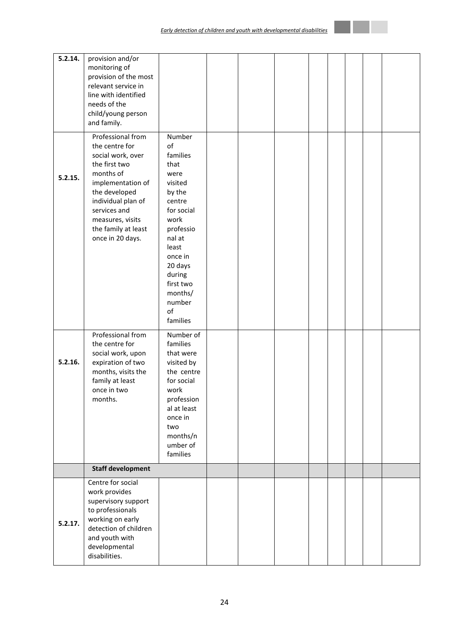| 5.2.14. | provision and/or<br>monitoring of<br>provision of the most<br>relevant service in<br>line with identified<br>needs of the<br>child/young person                                                                                                  |                                                                                                                                                                                                                   |  |  |  |  |
|---------|--------------------------------------------------------------------------------------------------------------------------------------------------------------------------------------------------------------------------------------------------|-------------------------------------------------------------------------------------------------------------------------------------------------------------------------------------------------------------------|--|--|--|--|
| 5.2.15. | and family.<br>Professional from<br>the centre for<br>social work, over<br>the first two<br>months of<br>implementation of<br>the developed<br>individual plan of<br>services and<br>measures, visits<br>the family at least<br>once in 20 days. | Number<br>of<br>families<br>that<br>were<br>visited<br>by the<br>centre<br>for social<br>work<br>professio<br>nal at<br>least<br>once in<br>20 days<br>during<br>first two<br>months/<br>number<br>of<br>families |  |  |  |  |
| 5.2.16. | Professional from<br>the centre for<br>social work, upon<br>expiration of two<br>months, visits the<br>family at least<br>once in two<br>months.                                                                                                 | Number of<br>families<br>that were<br>visited by<br>the centre<br>for social<br>work<br>profession<br>al at least<br>once in<br>two<br>months/n<br>umber of<br>families                                           |  |  |  |  |
|         | <b>Staff development</b>                                                                                                                                                                                                                         |                                                                                                                                                                                                                   |  |  |  |  |
| 5.2.17. | Centre for social<br>work provides<br>supervisory support<br>to professionals<br>working on early<br>detection of children<br>and youth with<br>developmental<br>disabilities.                                                                   |                                                                                                                                                                                                                   |  |  |  |  |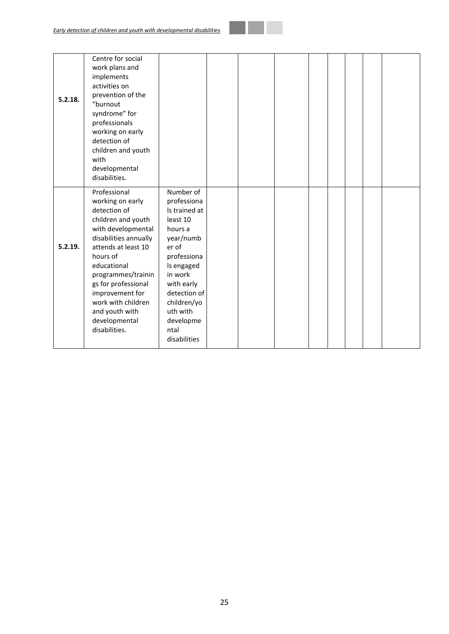| 5.2.18. | Centre for social<br>work plans and<br>implements<br>activities on<br>prevention of the<br>"burnout<br>syndrome" for<br>professionals<br>working on early<br>detection of<br>children and youth<br>with<br>developmental<br>disabilities.                                                                         |                                                                                                                                                                                                                              |  |  |  |  |
|---------|-------------------------------------------------------------------------------------------------------------------------------------------------------------------------------------------------------------------------------------------------------------------------------------------------------------------|------------------------------------------------------------------------------------------------------------------------------------------------------------------------------------------------------------------------------|--|--|--|--|
| 5.2.19. | Professional<br>working on early<br>detection of<br>children and youth<br>with developmental<br>disabilities annually<br>attends at least 10<br>hours of<br>educational<br>programmes/trainin<br>gs for professional<br>improvement for<br>work with children<br>and youth with<br>developmental<br>disabilities. | Number of<br>professiona<br>Is trained at<br>least 10<br>hours a<br>year/numb<br>er of<br>professiona<br>Is engaged<br>in work<br>with early<br>detection of<br>children/yo<br>uth with<br>developme<br>ntal<br>disabilities |  |  |  |  |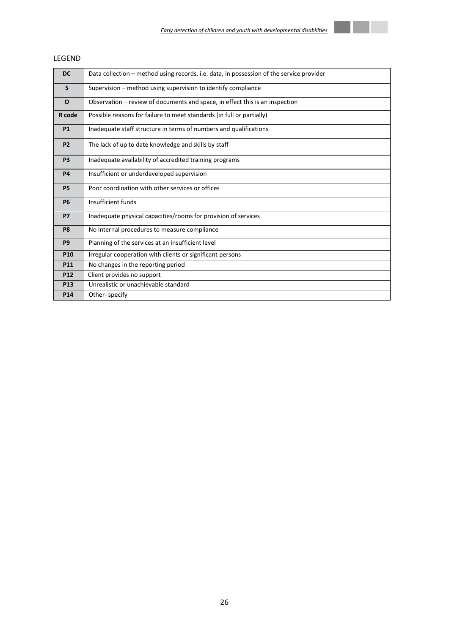

| ᆫᆫᇦᆫᇅ           |                                                                                          |
|-----------------|------------------------------------------------------------------------------------------|
| <b>DC</b>       | Data collection – method using records, i.e. data, in possession of the service provider |
| S               | Supervision – method using supervision to identify compliance                            |
| O               | Observation – review of documents and space, in effect this is an inspection             |
| R code          | Possible reasons for failure to meet standards (in full or partially)                    |
| <b>P1</b>       | Inadequate staff structure in terms of numbers and qualifications                        |
| P <sub>2</sub>  | The lack of up to date knowledge and skills by staff                                     |
| P <sub>3</sub>  | Inadequate availability of accredited training programs                                  |
| <b>P4</b>       | Insufficient or underdeveloped supervision                                               |
| <b>P5</b>       | Poor coordination with other services or offices                                         |
| <b>P6</b>       | Insufficient funds                                                                       |
| <b>P7</b>       | Inadequate physical capacities/rooms for provision of services                           |
| P <sub>8</sub>  | No internal procedures to measure compliance                                             |
| <b>P9</b>       | Planning of the services at an insufficient level                                        |
| P <sub>10</sub> | Irregular cooperation with clients or significant persons                                |

**P11** No changes in the reporting period

**P13** Unrealistic or unachievable standard

**P12** Client provides no support

**P14** Other- specify

## **LEGEND**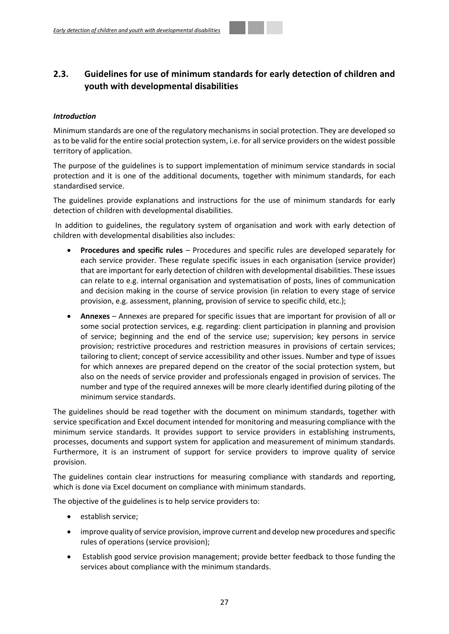## <span id="page-26-0"></span>**2.3. Guidelines for use of minimum standards for early detection of children and youth with developmental disabilities**

## *Introduction*

Minimum standards are one of the regulatory mechanisms in social protection. They are developed so as to be valid for the entire social protection system, i.e. for all service providers on the widest possible territory of application.

The purpose of the guidelines is to support implementation of minimum service standards in social protection and it is one of the additional documents, together with minimum standards, for each standardised service.

The guidelines provide explanations and instructions for the use of minimum standards for early detection of children with developmental disabilities.

In addition to guidelines, the regulatory system of organisation and work with early detection of children with developmental disabilities also includes:

- **Procedures and specific rules** Procedures and specific rules are developed separately for each service provider. These regulate specific issues in each organisation (service provider) that are important for early detection of children with developmental disabilities. These issues can relate to e.g. internal organisation and systematisation of posts, lines of communication and decision making in the course of service provision (in relation to every stage of service provision, e.g. assessment, planning, provision of service to specific child, etc.);
- **Annexes** Annexes are prepared for specific issues that are important for provision of all or some social protection services, e.g. regarding: client participation in planning and provision of service; beginning and the end of the service use; supervision; key persons in service provision; restrictive procedures and restriction measures in provisions of certain services; tailoring to client; concept of service accessibility and other issues. Number and type of issues for which annexes are prepared depend on the creator of the social protection system, but also on the needs of service provider and professionals engaged in provision of services. The number and type of the required annexes will be more clearly identified during piloting of the minimum service standards.

The guidelines should be read together with the document on minimum standards, together with service specification and Excel document intended for monitoring and measuring compliance with the minimum service standards. It provides support to service providers in establishing instruments, processes, documents and support system for application and measurement of minimum standards. Furthermore, it is an instrument of support for service providers to improve quality of service provision.

The guidelines contain clear instructions for measuring compliance with standards and reporting, which is done via Excel document on compliance with minimum standards.

The objective of the guidelines is to help service providers to:

- **e** establish service;
- improve quality of service provision, improve current and develop new procedures and specific rules of operations (service provision);
- Establish good service provision management; provide better feedback to those funding the services about compliance with the minimum standards.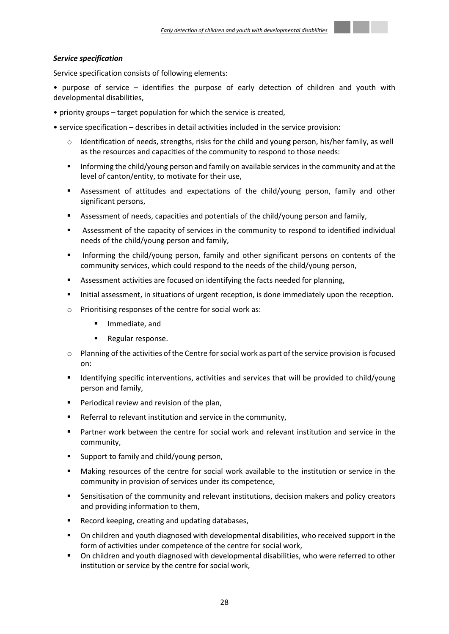#### *Service specification*

Service specification consists of following elements:

• purpose of service – identifies the purpose of early detection of children and youth with developmental disabilities,

- priority groups target population for which the service is created,
- service specification describes in detail activities included in the service provision:
	- $\circ$  Identification of needs, strengths, risks for the child and young person, his/her family, as well as the resources and capacities of the community to respond to those needs:
	- **Informing the child/young person and family on available services in the community and at the** level of canton/entity, to motivate for their use,
	- Assessment of attitudes and expectations of the child/young person, family and other significant persons,
	- Assessment of needs, capacities and potentials of the child/young person and family,
	- Assessment of the capacity of services in the community to respond to identified individual needs of the child/young person and family,
	- Informing the child/young person, family and other significant persons on contents of the community services, which could respond to the needs of the child/young person,
	- **Assessment activities are focused on identifying the facts needed for planning,**
	- Initial assessment, in situations of urgent reception, is done immediately upon the reception.
	- o Prioritising responses of the centre for social work as:
		- Immediate, and
		- Regular response.
	- $\circ$  Planning of the activities of the Centre for social work as part of the service provision is focused on:
	- Identifying specific interventions, activities and services that will be provided to child/young person and family,
	- **Periodical review and revision of the plan,**
	- Referral to relevant institution and service in the community,
	- Partner work between the centre for social work and relevant institution and service in the community,
	- Support to family and child/young person,
	- Making resources of the centre for social work available to the institution or service in the community in provision of services under its competence,
	- **Sensitisation of the community and relevant institutions, decision makers and policy creators** and providing information to them,
	- Record keeping, creating and updating databases,
	- On children and youth diagnosed with developmental disabilities, who received support in the form of activities under competence of the centre for social work,
	- On children and youth diagnosed with developmental disabilities, who were referred to other institution or service by the centre for social work,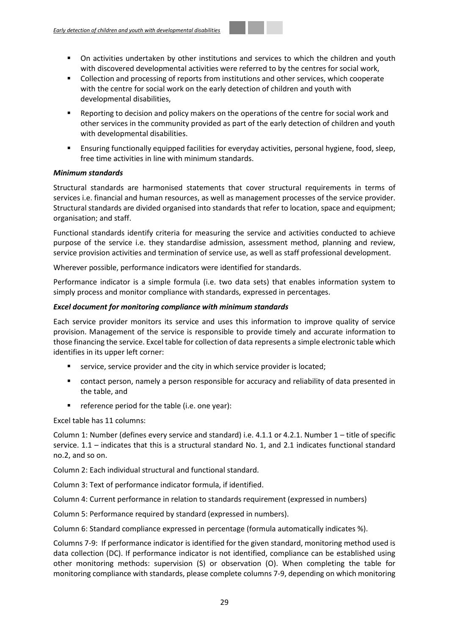- On activities undertaken by other institutions and services to which the children and youth with discovered developmental activities were referred to by the centres for social work,
- Collection and processing of reports from institutions and other services, which cooperate with the centre for social work on the early detection of children and youth with developmental disabilities,
- Reporting to decision and policy makers on the operations of the centre for social work and other services in the community provided as part of the early detection of children and youth with developmental disabilities.
- Ensuring functionally equipped facilities for everyday activities, personal hygiene, food, sleep, free time activities in line with minimum standards.

## *Minimum standards*

Structural standards are harmonised statements that cover structural requirements in terms of services i.e. financial and human resources, as well as management processes of the service provider. Structural standards are divided organised into standards that refer to location, space and equipment; organisation; and staff.

Functional standards identify criteria for measuring the service and activities conducted to achieve purpose of the service i.e. they standardise admission, assessment method, planning and review, service provision activities and termination of service use, as well as staff professional development.

Wherever possible, performance indicators were identified for standards.

Performance indicator is a simple formula (i.e. two data sets) that enables information system to simply process and monitor compliance with standards, expressed in percentages.

## *Excel document for monitoring compliance with minimum standards*

Each service provider monitors its service and uses this information to improve quality of service provision. Management of the service is responsible to provide timely and accurate information to those financing the service. Excel table for collection of data represents a simple electronic table which identifies in its upper left corner:

- service, service provider and the city in which service provider is located;
- contact person, namely a person responsible for accuracy and reliability of data presented in the table, and
- reference period for the table (i.e. one year):

Excel table has 11 columns:

Column 1: Number (defines every service and standard) i.e. 4.1.1 or 4.2.1. Number 1 – title of specific service. 1.1 – indicates that this is a structural standard No. 1, and 2.1 indicates functional standard no.2, and so on.

Column 2: Each individual structural and functional standard.

Column 3: Text of performance indicator formula, if identified.

Column 4: Current performance in relation to standards requirement (expressed in numbers)

Column 5: Performance required by standard (expressed in numbers).

Column 6: Standard compliance expressed in percentage (formula automatically indicates %).

Columns 7-9: If performance indicator is identified for the given standard, monitoring method used is data collection (DC). If performance indicator is not identified, compliance can be established using other monitoring methods: supervision (S) or observation (O). When completing the table for monitoring compliance with standards, please complete columns 7-9, depending on which monitoring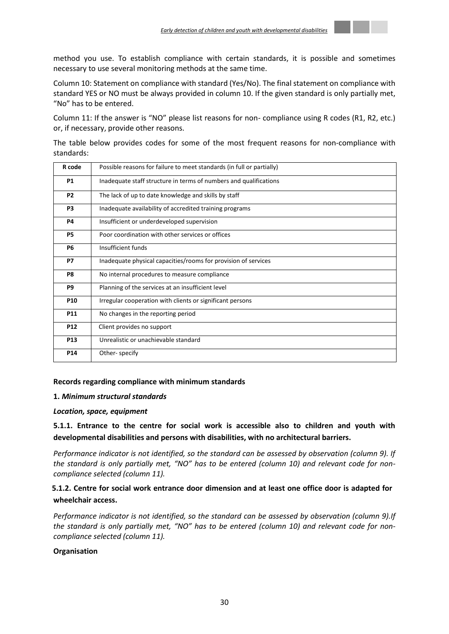

Column 10: Statement on compliance with standard (Yes/No). The final statement on compliance with standard YES or NO must be always provided in column 10. If the given standard is only partially met, "No" has to be entered.

Column 11: If the answer is "NO" please list reasons for non- compliance using R codes (R1, R2, etc.) or, if necessary, provide other reasons.

The table below provides codes for some of the most frequent reasons for non-compliance with standards:

| R code          | Possible reasons for failure to meet standards (in full or partially) |
|-----------------|-----------------------------------------------------------------------|
| <b>P1</b>       | Inadequate staff structure in terms of numbers and qualifications     |
| P <sub>2</sub>  | The lack of up to date knowledge and skills by staff                  |
| P <sub>3</sub>  | Inadequate availability of accredited training programs               |
| <b>P4</b>       | Insufficient or underdeveloped supervision                            |
| <b>P5</b>       | Poor coordination with other services or offices                      |
| <b>P6</b>       | Insufficient funds                                                    |
| <b>P7</b>       | Inadequate physical capacities/rooms for provision of services        |
| P8              | No internal procedures to measure compliance                          |
| P9              | Planning of the services at an insufficient level                     |
| <b>P10</b>      | Irregular cooperation with clients or significant persons             |
| P <sub>11</sub> | No changes in the reporting period                                    |
| P <sub>12</sub> | Client provides no support                                            |
| P <sub>13</sub> | Unrealistic or unachievable standard                                  |
| P14             | Other-specify                                                         |

## **Records regarding compliance with minimum standards**

## **1.** *Minimum structural standards*

## *Location, space, equipment*

**5.1.1. Entrance to the centre for social work is accessible also to children and youth with developmental disabilities and persons with disabilities, with no architectural barriers.** 

*Performance indicator is not identified, so the standard can be assessed by observation (column 9). If the standard is only partially met, "NO" has to be entered (column 10) and relevant code for noncompliance selected (column 11).* 

## **5.1.2. Centre for social work entrance door dimension and at least one office door is adapted for wheelchair access.**

*Performance indicator is not identified, so the standard can be assessed by observation (column 9).If the standard is only partially met, "NO" has to be entered (column 10) and relevant code for noncompliance selected (column 11).*

## **Organisation**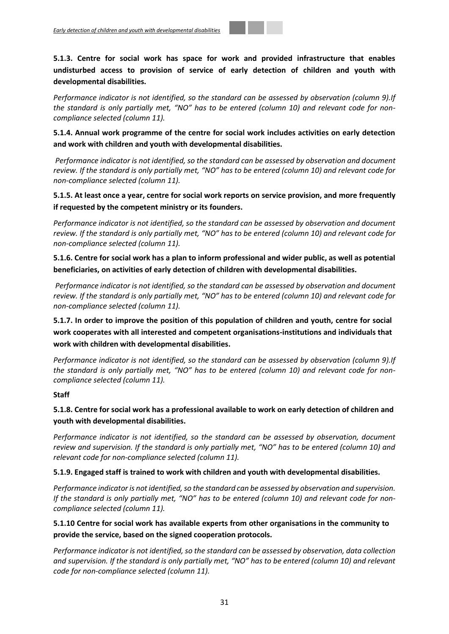**5.1.3. Centre for social work has space for work and provided infrastructure that enables undisturbed access to provision of service of early detection of children and youth with developmental disabilities.**

*Performance indicator is not identified, so the standard can be assessed by observation (column 9).If the standard is only partially met, "NO" has to be entered (column 10) and relevant code for noncompliance selected (column 11).*

**5.1.4. Annual work programme of the centre for social work includes activities on early detection and work with children and youth with developmental disabilities.** 

*Performance indicator is not identified, so the standard can be assessed by observation and document review. If the standard is only partially met, "NO" has to be entered (column 10) and relevant code for non-compliance selected (column 11).*

**5.1.5. At least once a year, centre for social work reports on service provision, and more frequently if requested by the competent ministry or its founders.**

*Performance indicator is not identified, so the standard can be assessed by observation and document review. If the standard is only partially met, "NO" has to be entered (column 10) and relevant code for non-compliance selected (column 11).*

**5.1.6. Centre for social work has a plan to inform professional and wider public, as well as potential beneficiaries, on activities of early detection of children with developmental disabilities.** 

*Performance indicator is not identified, so the standard can be assessed by observation and document review. If the standard is only partially met, "NO" has to be entered (column 10) and relevant code for non-compliance selected (column 11).*

**5.1.7. In order to improve the position of this population of children and youth, centre for social work cooperates with all interested and competent organisations-institutions and individuals that work with children with developmental disabilities.** 

*Performance indicator is not identified, so the standard can be assessed by observation (column 9).If the standard is only partially met, "NO" has to be entered (column 10) and relevant code for noncompliance selected (column 11).*

## **Staff**

**5.1.8. Centre for social work has a professional available to work on early detection of children and youth with developmental disabilities.**

*Performance indicator is not identified, so the standard can be assessed by observation, document review and supervision. If the standard is only partially met, "NO" has to be entered (column 10) and relevant code for non-compliance selected (column 11).* 

## **5.1.9. Engaged staff is trained to work with children and youth with developmental disabilities.**

*Performance indicator is not identified, so the standard can be assessed by observation and supervision.*  If the standard is only partially met, "NO" has to be entered (column 10) and relevant code for non*compliance selected (column 11).*

**5.1.10 Centre for social work has available experts from other organisations in the community to provide the service, based on the signed cooperation protocols.**

*Performance indicator is not identified, so the standard can be assessed by observation, data collection and supervision. If the standard is only partially met, "NO" has to be entered (column 10) and relevant code for non-compliance selected (column 11).*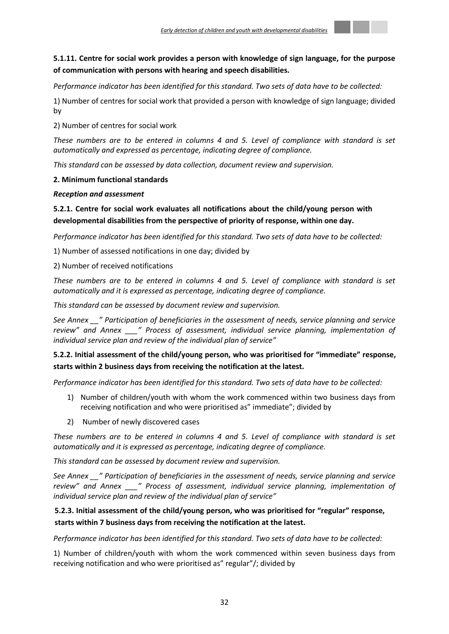

## **5.1.11. Centre for social work provides a person with knowledge of sign language, for the purpose of communication with persons with hearing and speech disabilities.**

## *Performance indicator has been identified for this standard. Two sets of data have to be collected:*

1) Number of centres for social work that provided a person with knowledge of sign language; divided by

2) Number of centres for social work

*These numbers are to be entered in columns 4 and 5. Level of compliance with standard is set automatically and expressed as percentage, indicating degree of compliance.*

*This standard can be assessed by data collection, document review and supervision.* 

## **2. Minimum functional standards**

## *Reception and assessment*

## **5.2.1. Centre for social work evaluates all notifications about the child/young person with developmental disabilities from the perspective of priority of response, within one day.**

*Performance indicator has been identified for this standard. Two sets of data have to be collected:*

1) Number of assessed notifications in one day; divided by

2) Number of received notifications

*These numbers are to be entered in columns 4 and 5. Level of compliance with standard is set automatically and it is expressed as percentage, indicating degree of compliance.*

*This standard can be assessed by document review and supervision.*

*See Annex \_\_" Participation of beneficiaries in the assessment of needs, service planning and service review" and Annex \_\_\_" Process of assessment, individual service planning, implementation of individual service plan and review of the individual plan of service"* 

## **5.2.2. Initial assessment of the child/young person, who was prioritised for "immediate" response, starts within 2 business days from receiving the notification at the latest.**

*Performance indicator has been identified for this standard. Two sets of data have to be collected:*

- 1) Number of children/youth with whom the work commenced within two business days from receiving notification and who were prioritised as" immediate"; divided by
- 2) Number of newly discovered cases

*These numbers are to be entered in columns 4 and 5. Level of compliance with standard is set automatically and it is expressed as percentage, indicating degree of compliance.*

*This standard can be assessed by document review and supervision.*

*See Annex \_\_" Participation of beneficiaries in the assessment of needs, service planning and service review" and Annex \_\_\_" Process of assessment, individual service planning, implementation of individual service plan and review of the individual plan of service"* 

## **5.2.3. Initial assessment of the child/young person, who was prioritised for "regular" response, starts within 7 business days from receiving the notification at the latest.**

*Performance indicator has been identified for this standard. Two sets of data have to be collected:*

1) Number of children/youth with whom the work commenced within seven business days from receiving notification and who were prioritised as" regular"/; divided by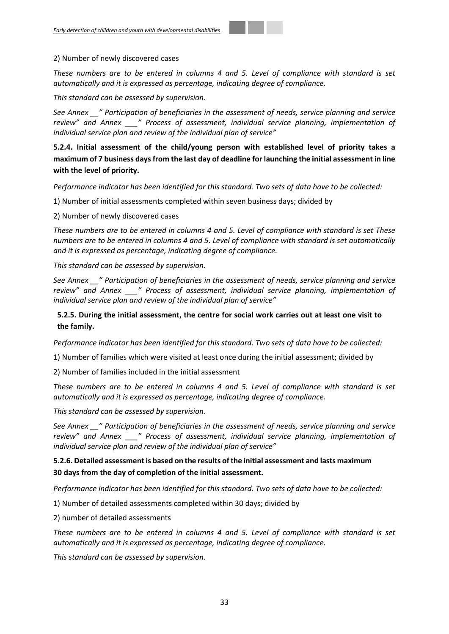#### 2) Number of newly discovered cases

*These numbers are to be entered in columns 4 and 5. Level of compliance with standard is set automatically and it is expressed as percentage, indicating degree of compliance.*

*This standard can be assessed by supervision.*

*See Annex \_\_" Participation of beneficiaries in the assessment of needs, service planning and service review" and Annex \_\_\_" Process of assessment, individual service planning, implementation of individual service plan and review of the individual plan of service"* 

**5.2.4. Initial assessment of the child/young person with established level of priority takes a maximum of 7 business days from the last day of deadline for launching the initial assessment in line with the level of priority.**

*Performance indicator has been identified for this standard. Two sets of data have to be collected:*

1) Number of initial assessments completed within seven business days; divided by

2) Number of newly discovered cases

*These numbers are to be entered in columns 4 and 5. Level of compliance with standard is set These numbers are to be entered in columns 4 and 5. Level of compliance with standard is set automatically and it is expressed as percentage, indicating degree of compliance.*

*This standard can be assessed by supervision.*

*See Annex \_\_" Participation of beneficiaries in the assessment of needs, service planning and service review" and Annex \_\_\_" Process of assessment, individual service planning, implementation of individual service plan and review of the individual plan of service"*

## **5.2.5. During the initial assessment, the centre for social work carries out at least one visit to the family.**

*Performance indicator has been identified for this standard. Two sets of data have to be collected:*

1) Number of families which were visited at least once during the initial assessment; divided by

2) Number of families included in the initial assessment

*These numbers are to be entered in columns 4 and 5. Level of compliance with standard is set automatically and it is expressed as percentage, indicating degree of compliance.*

*This standard can be assessed by supervision.*

*See Annex \_\_" Participation of beneficiaries in the assessment of needs, service planning and service review" and Annex \_\_\_" Process of assessment, individual service planning, implementation of individual service plan and review of the individual plan of service"* 

## **5.2.6. Detailed assessment is based on the results of the initial assessment and lasts maximum 30 days from the day of completion of the initial assessment.**

*Performance indicator has been identified for this standard. Two sets of data have to be collected:*

1) Number of detailed assessments completed within 30 days; divided by

2) number of detailed assessments

*These numbers are to be entered in columns 4 and 5. Level of compliance with standard is set automatically and it is expressed as percentage, indicating degree of compliance.*

*This standard can be assessed by supervision.*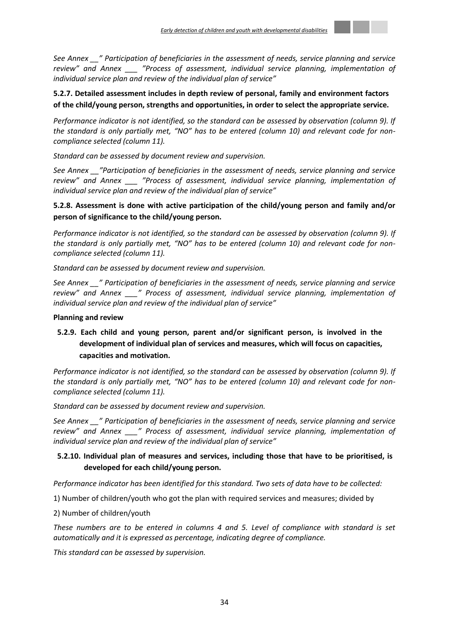

*See Annex \_\_" Participation of beneficiaries in the assessment of needs, service planning and service review" and Annex \_\_\_ "Process of assessment, individual service planning, implementation of individual service plan and review of the individual plan of service"* 

## **5.2.7. Detailed assessment includes in depth review of personal, family and environment factors of the child/young person, strengths and opportunities, in order to select the appropriate service.**

*Performance indicator is not identified, so the standard can be assessed by observation (column 9). If the standard is only partially met, "NO" has to be entered (column 10) and relevant code for noncompliance selected (column 11).* 

*Standard can be assessed by document review and supervision.*

*See Annex \_\_"Participation of beneficiaries in the assessment of needs, service planning and service review" and Annex \_\_\_ "Process of assessment, individual service planning, implementation of individual service plan and review of the individual plan of service"*

## **5.2.8. Assessment is done with active participation of the child/young person and family and/or person of significance to the child/young person.**

*Performance indicator is not identified, so the standard can be assessed by observation (column 9). If the standard is only partially met, "NO" has to be entered (column 10) and relevant code for noncompliance selected (column 11).* 

*Standard can be assessed by document review and supervision.*

*See Annex \_\_" Participation of beneficiaries in the assessment of needs, service planning and service review" and Annex \_\_\_" Process of assessment, individual service planning, implementation of individual service plan and review of the individual plan of service"*

## **Planning and review**

## **5.2.9. Each child and young person, parent and/or significant person, is involved in the development of individual plan of services and measures, which will focus on capacities, capacities and motivation.**

*Performance indicator is not identified, so the standard can be assessed by observation (column 9). If the standard is only partially met, "NO" has to be entered (column 10) and relevant code for noncompliance selected (column 11).* 

*Standard can be assessed by document review and supervision.*

*See Annex \_\_" Participation of beneficiaries in the assessment of needs, service planning and service review" and Annex \_\_\_" Process of assessment, individual service planning, implementation of individual service plan and review of the individual plan of service"*

## **5.2.10. Individual plan of measures and services, including those that have to be prioritised, is developed for each child/young person.**

*Performance indicator has been identified for this standard. Two sets of data have to be collected:*

1) Number of children/youth who got the plan with required services and measures; divided by

2) Number of children/youth

*These numbers are to be entered in columns 4 and 5. Level of compliance with standard is set automatically and it is expressed as percentage, indicating degree of compliance.*

*This standard can be assessed by supervision.*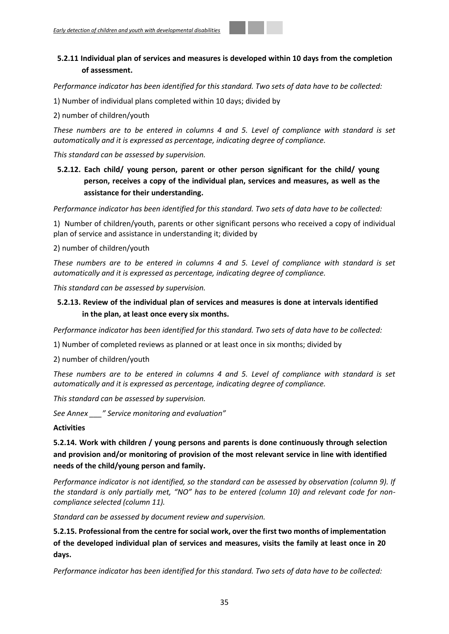## **5.2.11 Individual plan of services and measures is developed within 10 days from the completion of assessment.**

*Performance indicator has been identified for this standard. Two sets of data have to be collected:*

1) Number of individual plans completed within 10 days; divided by

2) number of children/youth

*These numbers are to be entered in columns 4 and 5. Level of compliance with standard is set automatically and it is expressed as percentage, indicating degree of compliance.*

*This standard can be assessed by supervision.*

**5.2.12. Each child/ young person, parent or other person significant for the child/ young person, receives a copy of the individual plan, services and measures, as well as the assistance for their understanding.**

*Performance indicator has been identified for this standard. Two sets of data have to be collected:*

1) Number of children/youth, parents or other significant persons who received a copy of individual plan of service and assistance in understanding it; divided by

2) number of children/youth

*These numbers are to be entered in columns 4 and 5. Level of compliance with standard is set automatically and it is expressed as percentage, indicating degree of compliance.*

*This standard can be assessed by supervision.*

## **5.2.13. Review of the individual plan of services and measures is done at intervals identified in the plan, at least once every six months.**

*Performance indicator has been identified for this standard. Two sets of data have to be collected:*

1) Number of completed reviews as planned or at least once in six months; divided by

2) number of children/youth

*These numbers are to be entered in columns 4 and 5. Level of compliance with standard is set automatically and it is expressed as percentage, indicating degree of compliance.*

*This standard can be assessed by supervision.*

*See Annex \_\_\_" Service monitoring and evaluation"*

## **Activities**

**5.2.14. Work with children / young persons and parents is done continuously through selection and provision and/or monitoring of provision of the most relevant service in line with identified needs of the child/young person and family.**

*Performance indicator is not identified, so the standard can be assessed by observation (column 9). If the standard is only partially met, "NO" has to be entered (column 10) and relevant code for noncompliance selected (column 11).* 

*Standard can be assessed by document review and supervision.*

**5.2.15. Professional from the centre for social work, over the first two months of implementation of the developed individual plan of services and measures, visits the family at least once in 20 days.**

*Performance indicator has been identified for this standard. Two sets of data have to be collected:*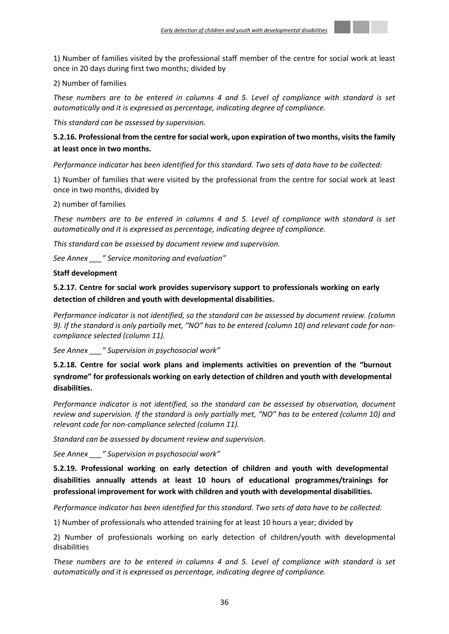

1) Number of families visited by the professional staff member of the centre for social work at least once in 20 days during first two months; divided by

## 2) Number of families

*These numbers are to be entered in columns 4 and 5. Level of compliance with standard is set automatically and it is expressed as percentage, indicating degree of compliance.*

*This standard can be assessed by supervision.*

## **5.2.16. Professional from the centre for social work, upon expiration of two months, visits the family at least once in two months.**

*Performance indicator has been identified for this standard. Two sets of data have to be collected:*

1) Number of families that were visited by the professional from the centre for social work at least once in two months, divided by

## 2) number of families

*These numbers are to be entered in columns 4 and 5. Level of compliance with standard is set automatically and it is expressed as percentage, indicating degree of compliance.*

*This standard can be assessed by document review and supervision.*

*See Annex \_\_\_" Service monitoring and evaluation"*

#### **Staff development**

**5.2.17. Centre for social work provides supervisory support to professionals working on early detection of children and youth with developmental disabilities.**

*Performance indicator is not identified, so the standard can be assessed by document review. (column 9). If the standard is only partially met, "NO" has to be entered (column 10) and relevant code for noncompliance selected (column 11).* 

*See Annex \_\_\_" Supervision in psychosocial work"*

**5.2.18. Centre for social work plans and implements activities on prevention of the "burnout syndrome" for professionals working on early detection of children and youth with developmental disabilities.**

*Performance indicator is not identified, so the standard can be assessed by observation, document review and supervision. If the standard is only partially met, "NO" has to be entered (column 10) and relevant code for non-compliance selected (column 11).*

*Standard can be assessed by document review and supervision.*

*See Annex \_\_\_" Supervision in psychosocial work"*

**5.2.19. Professional working on early detection of children and youth with developmental disabilities annually attends at least 10 hours of educational programmes/trainings for professional improvement for work with children and youth with developmental disabilities.**

*Performance indicator has been identified for this standard. Two sets of data have to be collected:*

1) Number of professionals who attended training for at least 10 hours a year; divided by

2) Number of professionals working on early detection of children/youth with developmental disabilities

*These numbers are to be entered in columns 4 and 5. Level of compliance with standard is set automatically and it is expressed as percentage, indicating degree of compliance.*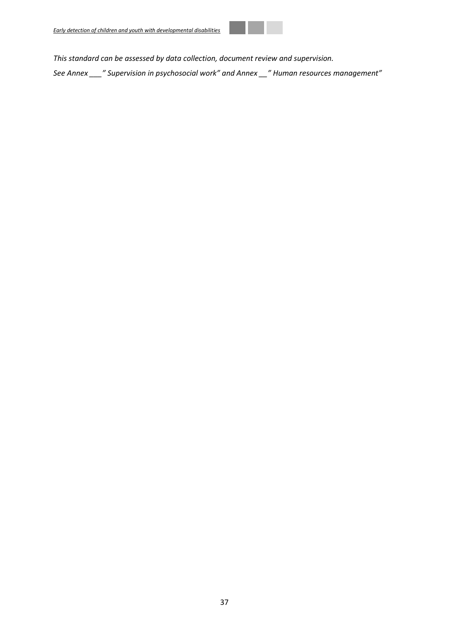

*This standard can be assessed by data collection, document review and supervision.* 

*See Annex \_\_\_" Supervision in psychosocial work" and Annex \_\_" Human resources management"*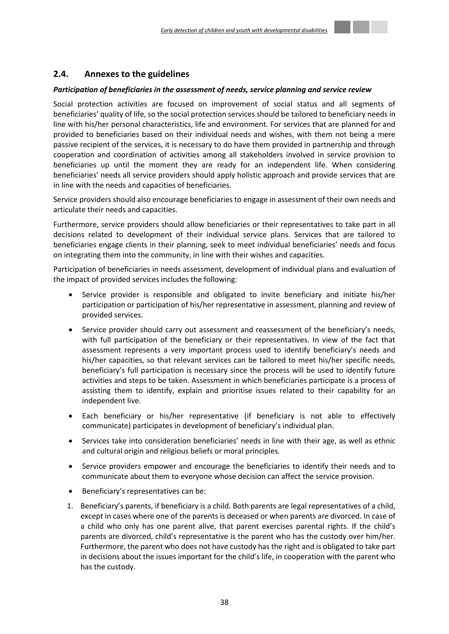## <span id="page-37-0"></span>**2.4. Annexes to the guidelines**

#### *Participation of beneficiaries in the assessment of needs, service planning and service review*

Social protection activities are focused on improvement of social status and all segments of beneficiaries' quality of life, so the social protection services should be tailored to beneficiary needs in line with his/her personal characteristics, life and environment. For services that are planned for and provided to beneficiaries based on their individual needs and wishes, with them not being a mere passive recipient of the services, it is necessary to do have them provided in partnership and through cooperation and coordination of activities among all stakeholders involved in service provision to beneficiaries up until the moment they are ready for an independent life. When considering beneficiaries' needs all service providers should apply holistic approach and provide services that are in line with the needs and capacities of beneficiaries.

Service providers should also encourage beneficiaries to engage in assessment of their own needs and articulate their needs and capacities.

Furthermore, service providers should allow beneficiaries or their representatives to take part in all decisions related to development of their individual service plans. Services that are tailored to beneficiaries engage clients in their planning, seek to meet individual beneficiaries' needs and focus on integrating them into the community, in line with their wishes and capacities.

Participation of beneficiaries in needs assessment, development of individual plans and evaluation of the impact of provided services includes the following:

- Service provider is responsible and obligated to invite beneficiary and initiate his/her participation or participation of his/her representative in assessment, planning and review of provided services.
- Service provider should carry out assessment and reassessment of the beneficiary's needs, with full participation of the beneficiary or their representatives. In view of the fact that assessment represents a very important process used to identify beneficiary's needs and his/her capacities, so that relevant services can be tailored to meet his/her specific needs, beneficiary's full participation is necessary since the process will be used to identify future activities and steps to be taken. Assessment in which beneficiaries participate is a process of assisting them to identify, explain and prioritise issues related to their capability for an independent live.
- Each beneficiary or his/her representative (if beneficiary is not able to effectively communicate) participates in development of beneficiary's individual plan.
- Services take into consideration beneficiaries' needs in line with their age, as well as ethnic and cultural origin and religious beliefs or moral principles.
- Service providers empower and encourage the beneficiaries to identify their needs and to communicate about them to everyone whose decision can affect the service provision.
- Beneficiary's representatives can be:
- 1. Beneficiary's parents, if beneficiary is a child. Both parents are legal representatives of a child, except in cases where one of the parents is deceased or when parents are divorced. In case of a child who only has one parent alive, that parent exercises parental rights. If the child's parents are divorced, child's representative is the parent who has the custody over him/her. Furthermore, the parent who does not have custody has the right and is obligated to take part in decisions about the issues important for the child's life, in cooperation with the parent who has the custody.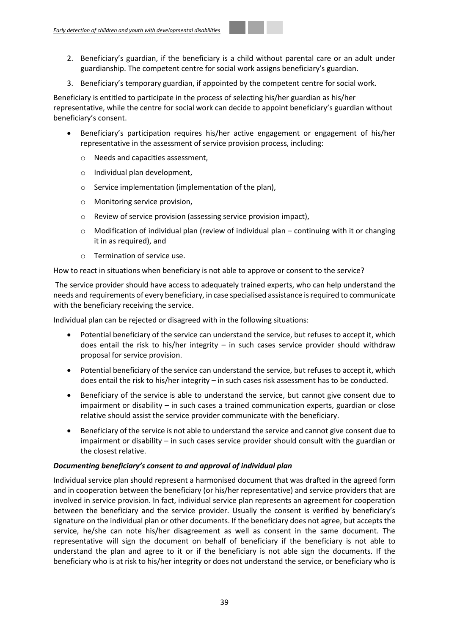- 2. Beneficiary's guardian, if the beneficiary is a child without parental care or an adult under guardianship. The competent centre for social work assigns beneficiary's guardian.
- 3. Beneficiary's temporary guardian, if appointed by the competent centre for social work.

Beneficiary is entitled to participate in the process of selecting his/her guardian as his/her representative, while the centre for social work can decide to appoint beneficiary's guardian without beneficiary's consent.

- Beneficiary's participation requires his/her active engagement or engagement of his/her representative in the assessment of service provision process, including:
	- o Needs and capacities assessment,
	- o Individual plan development,
	- o Service implementation (implementation of the plan),
	- o Monitoring service provision,
	- o Review of service provision (assessing service provision impact),
	- $\circ$  Modification of individual plan (review of individual plan continuing with it or changing it in as required), and
	- o Termination of service use.

How to react in situations when beneficiary is not able to approve or consent to the service?

The service provider should have access to adequately trained experts, who can help understand the needs and requirements of every beneficiary, in case specialised assistance is required to communicate with the beneficiary receiving the service.

Individual plan can be rejected or disagreed with in the following situations:

- Potential beneficiary of the service can understand the service, but refuses to accept it, which does entail the risk to his/her integrity – in such cases service provider should withdraw proposal for service provision.
- Potential beneficiary of the service can understand the service, but refuses to accept it, which does entail the risk to his/her integrity – in such cases risk assessment has to be conducted.
- Beneficiary of the service is able to understand the service, but cannot give consent due to impairment or disability – in such cases a trained communication experts, guardian or close relative should assist the service provider communicate with the beneficiary.
- Beneficiary of the service is not able to understand the service and cannot give consent due to impairment or disability – in such cases service provider should consult with the guardian or the closest relative.

## *Documenting beneficiary's consent to and approval of individual plan*

Individual service plan should represent a harmonised document that was drafted in the agreed form and in cooperation between the beneficiary (or his/her representative) and service providers that are involved in service provision. In fact, individual service plan represents an agreement for cooperation between the beneficiary and the service provider. Usually the consent is verified by beneficiary's signature on the individual plan or other documents. If the beneficiary does not agree, but accepts the service, he/she can note his/her disagreement as well as consent in the same document. The representative will sign the document on behalf of beneficiary if the beneficiary is not able to understand the plan and agree to it or if the beneficiary is not able sign the documents. If the beneficiary who is at risk to his/her integrity or does not understand the service, or beneficiary who is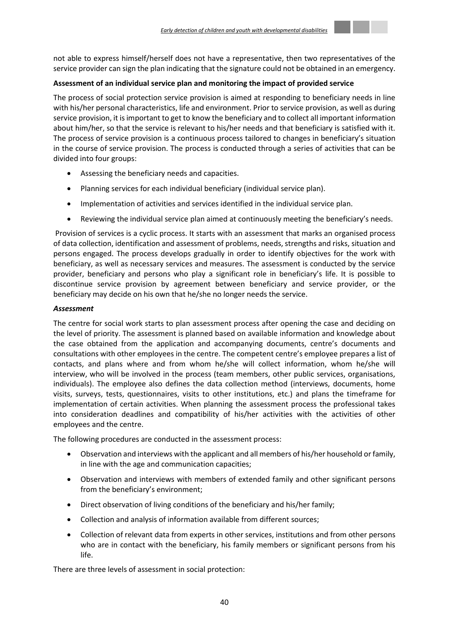

## **Assessment of an individual service plan and monitoring the impact of provided service**

The process of social protection service provision is aimed at responding to beneficiary needs in line with his/her personal characteristics, life and environment. Prior to service provision, as well as during service provision, it is important to get to know the beneficiary and to collect all important information about him/her, so that the service is relevant to his/her needs and that beneficiary is satisfied with it. The process of service provision is a continuous process tailored to changes in beneficiary's situation in the course of service provision. The process is conducted through a series of activities that can be divided into four groups:

- Assessing the beneficiary needs and capacities.
- Planning services for each individual beneficiary (individual service plan).
- Implementation of activities and services identified in the individual service plan.
- Reviewing the individual service plan aimed at continuously meeting the beneficiary's needs.

Provision of services is a cyclic process. It starts with an assessment that marks an organised process of data collection, identification and assessment of problems, needs, strengths and risks, situation and persons engaged. The process develops gradually in order to identify objectives for the work with beneficiary, as well as necessary services and measures. The assessment is conducted by the service provider, beneficiary and persons who play a significant role in beneficiary's life. It is possible to discontinue service provision by agreement between beneficiary and service provider, or the beneficiary may decide on his own that he/she no longer needs the service.

## *Assessment*

The centre for social work starts to plan assessment process after opening the case and deciding on the level of priority. The assessment is planned based on available information and knowledge about the case obtained from the application and accompanying documents, centre's documents and consultations with other employees in the centre. The competent centre's employee prepares a list of contacts, and plans where and from whom he/she will collect information, whom he/she will interview, who will be involved in the process (team members, other public services, organisations, individuals). The employee also defines the data collection method (interviews, documents, home visits, surveys, tests, questionnaires, visits to other institutions, etc.) and plans the timeframe for implementation of certain activities. When planning the assessment process the professional takes into consideration deadlines and compatibility of his/her activities with the activities of other employees and the centre.

The following procedures are conducted in the assessment process:

- Observation and interviews with the applicant and all members of his/her household or family, in line with the age and communication capacities;
- Observation and interviews with members of extended family and other significant persons from the beneficiary's environment;
- Direct observation of living conditions of the beneficiary and his/her family;
- Collection and analysis of information available from different sources;
- Collection of relevant data from experts in other services, institutions and from other persons who are in contact with the beneficiary, his family members or significant persons from his life.

There are three levels of assessment in social protection: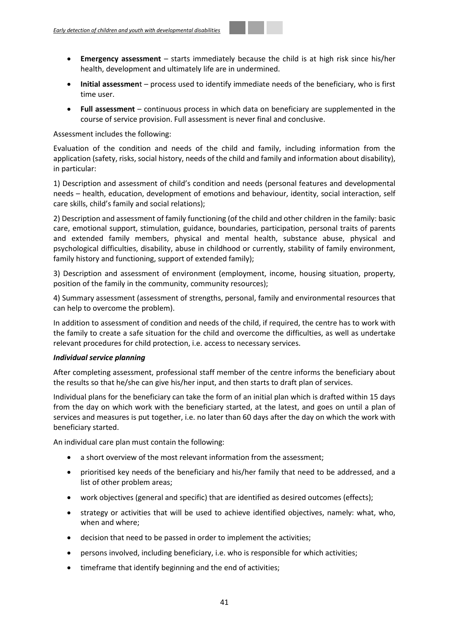- **Emergency assessment**  starts immediately because the child is at high risk since his/her health, development and ultimately life are in undermined.
- **Initial assessmen**t process used to identify immediate needs of the beneficiary, who is first time user.
- **Full assessment**  continuous process in which data on beneficiary are supplemented in the course of service provision. Full assessment is never final and conclusive.

## Assessment includes the following:

Evaluation of the condition and needs of the child and family, including information from the application (safety, risks, social history, needs of the child and family and information about disability), in particular:

1) Description and assessment of child's condition and needs (personal features and developmental needs – health, education, development of emotions and behaviour, identity, social interaction, self care skills, child's family and social relations);

2) Description and assessment of family functioning (of the child and other children in the family: basic care, emotional support, stimulation, guidance, boundaries, participation, personal traits of parents and extended family members, physical and mental health, substance abuse, physical and psychological difficulties, disability, abuse in childhood or currently, stability of family environment, family history and functioning, support of extended family);

3) Description and assessment of environment (employment, income, housing situation, property, position of the family in the community, community resources);

4) Summary assessment (assessment of strengths, personal, family and environmental resources that can help to overcome the problem).

In addition to assessment of condition and needs of the child, if required, the centre has to work with the family to create a safe situation for the child and overcome the difficulties, as well as undertake relevant procedures for child protection, i.e. access to necessary services.

## *Individual service planning*

After completing assessment, professional staff member of the centre informs the beneficiary about the results so that he/she can give his/her input, and then starts to draft plan of services.

Individual plans for the beneficiary can take the form of an initial plan which is drafted within 15 days from the day on which work with the beneficiary started, at the latest, and goes on until a plan of services and measures is put together, i.e. no later than 60 days after the day on which the work with beneficiary started.

An individual care plan must contain the following:

- a short overview of the most relevant information from the assessment;
- prioritised key needs of the beneficiary and his/her family that need to be addressed, and a list of other problem areas;
- work objectives (general and specific) that are identified as desired outcomes (effects);
- strategy or activities that will be used to achieve identified objectives, namely: what, who, when and where;
- decision that need to be passed in order to implement the activities;
- persons involved, including beneficiary, i.e. who is responsible for which activities;
- timeframe that identify beginning and the end of activities;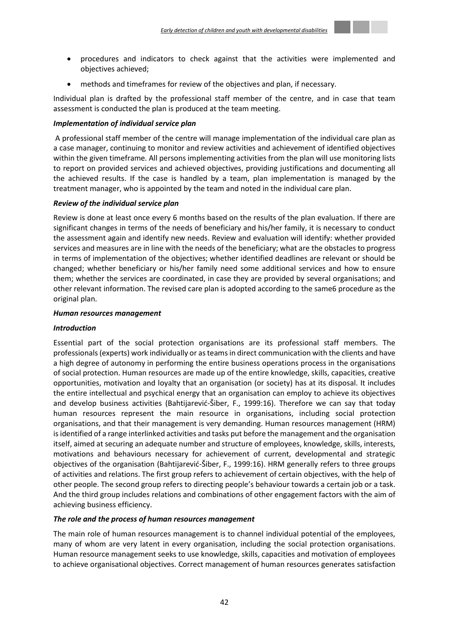

- procedures and indicators to check against that the activities were implemented and objectives achieved;
- methods and timeframes for review of the objectives and plan, if necessary.

Individual plan is drafted by the professional staff member of the centre, and in case that team assessment is conducted the plan is produced at the team meeting.

## *Implementation of individual service plan*

A professional staff member of the centre will manage implementation of the individual care plan as a case manager, continuing to monitor and review activities and achievement of identified objectives within the given timeframe. All persons implementing activities from the plan will use monitoring lists to report on provided services and achieved objectives, providing justifications and documenting all the achieved results. If the case is handled by a team, plan implementation is managed by the treatment manager, who is appointed by the team and noted in the individual care plan.

## *Review of the individual service plan*

Review is done at least once every 6 months based on the results of the plan evaluation. If there are significant changes in terms of the needs of beneficiary and his/her family, it is necessary to conduct the assessment again and identify new needs. Review and evaluation will identify: whether provided services and measures are in line with the needs of the beneficiary; what are the obstacles to progress in terms of implementation of the objectives; whether identified deadlines are relevant or should be changed; whether beneficiary or his/her family need some additional services and how to ensure them; whether the services are coordinated, in case they are provided by several organisations; and other relevant information. The revised care plan is adopted according to the same6 procedure as the original plan.

## *Human resources management*

## *Introduction*

Essential part of the social protection organisations are its professional staff members. The professionals (experts) work individually or as teams in direct communication with the clients and have a high degree of autonomy in performing the entire business operations process in the organisations of social protection. Human resources are made up of the entire knowledge, skills, capacities, creative opportunities, motivation and loyalty that an organisation (or society) has at its disposal. It includes the entire intellectual and psychical energy that an organisation can employ to achieve its objectives and develop business activities (Bahtijarević-Šiber, F., 1999:16). Therefore we can say that today human resources represent the main resource in organisations, including social protection organisations, and that their management is very demanding. Human resources management (HRM) is identified of a range interlinked activities and tasks put before the management and the organisation itself, aimed at securing an adequate number and structure of employees, knowledge, skills, interests, motivations and behaviours necessary for achievement of current, developmental and strategic objectives of the organisation (Bahtijarević-Šiber, F., 1999:16). HRM generally refers to three groups of activities and relations. The first group refers to achievement of certain objectives, with the help of other people. The second group refers to directing people's behaviour towards a certain job or a task. And the third group includes relations and combinations of other engagement factors with the aim of achieving business efficiency.

## *The role and the process of human resources management*

The main role of human resources management is to channel individual potential of the employees, many of whom are very latent in every organisation, including the social protection organisations. Human resource management seeks to use knowledge, skills, capacities and motivation of employees to achieve organisational objectives. Correct management of human resources generates satisfaction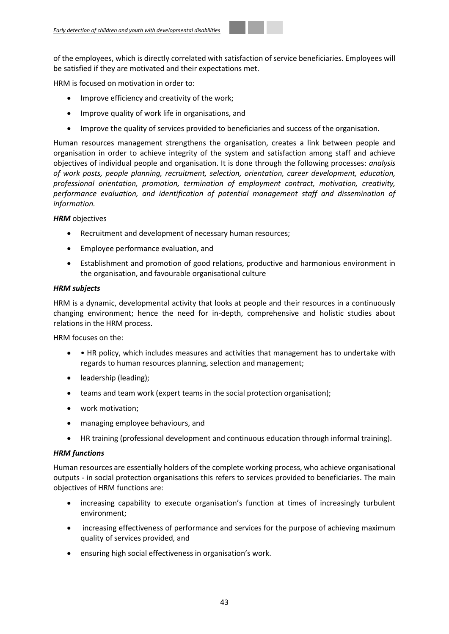of the employees, which is directly correlated with satisfaction of service beneficiaries. Employees will be satisfied if they are motivated and their expectations met.

HRM is focused on motivation in order to:

- Improve efficiency and creativity of the work;
- Improve quality of work life in organisations, and
- Improve the quality of services provided to beneficiaries and success of the organisation.

Human resources management strengthens the organisation, creates a link between people and organisation in order to achieve integrity of the system and satisfaction among staff and achieve objectives of individual people and organisation. It is done through the following processes: *analysis of work posts, people planning, recruitment, selection, orientation, career development, education, professional orientation, promotion, termination of employment contract, motivation, creativity, performance evaluation, and identification of potential management staff and dissemination of information.*

## **HRM** objectives

- Recruitment and development of necessary human resources;
- Employee performance evaluation, and
- Establishment and promotion of good relations, productive and harmonious environment in the organisation, and favourable organisational culture

## *HRM subjects*

HRM is a dynamic, developmental activity that looks at people and their resources in a continuously changing environment; hence the need for in-depth, comprehensive and holistic studies about relations in the HRM process.

HRM focuses on the:

- HR policy, which includes measures and activities that management has to undertake with regards to human resources planning, selection and management;
- leadership (leading);
- teams and team work (expert teams in the social protection organisation);
- work motivation;
- managing employee behaviours, and
- HR training (professional development and continuous education through informal training).

## *HRM functions*

Human resources are essentially holders of the complete working process, who achieve organisational outputs - in social protection organisations this refers to services provided to beneficiaries. The main objectives of HRM functions are:

- increasing capability to execute organisation's function at times of increasingly turbulent environment;
- increasing effectiveness of performance and services for the purpose of achieving maximum quality of services provided, and
- ensuring high social effectiveness in organisation's work.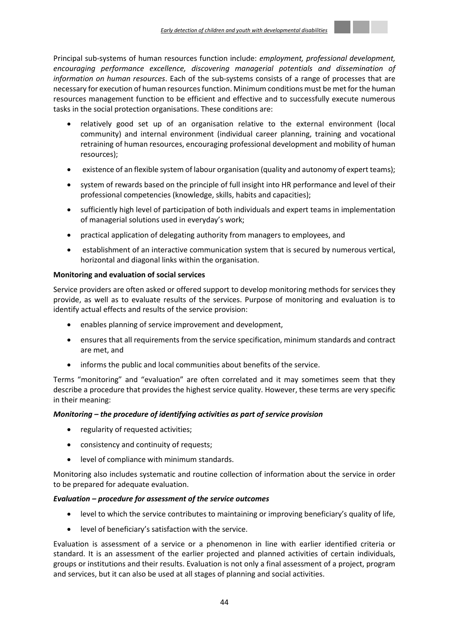

Principal sub-systems of human resources function include: *employment, professional development, encouraging performance excellence, discovering managerial potentials and dissemination of information on human resources*. Each of the sub-systems consists of a range of processes that are necessary for execution of human resources function. Minimum conditions must be met for the human resources management function to be efficient and effective and to successfully execute numerous tasks in the social protection organisations. These conditions are:

- relatively good set up of an organisation relative to the external environment (local community) and internal environment (individual career planning, training and vocational retraining of human resources, encouraging professional development and mobility of human resources);
- existence of an flexible system of labour organisation (quality and autonomy of expert teams);
- system of rewards based on the principle of full insight into HR performance and level of their professional competencies (knowledge, skills, habits and capacities);
- sufficiently high level of participation of both individuals and expert teams in implementation of managerial solutions used in everyday's work;
- practical application of delegating authority from managers to employees, and
- establishment of an interactive communication system that is secured by numerous vertical, horizontal and diagonal links within the organisation.

## **Monitoring and evaluation of social services**

Service providers are often asked or offered support to develop monitoring methods for services they provide, as well as to evaluate results of the services. Purpose of monitoring and evaluation is to identify actual effects and results of the service provision:

- enables planning of service improvement and development,
- ensures that all requirements from the service specification, minimum standards and contract are met, and
- informs the public and local communities about benefits of the service.

Terms "monitoring" and "evaluation" are often correlated and it may sometimes seem that they describe a procedure that provides the highest service quality. However, these terms are very specific in their meaning:

## *Monitoring – the procedure of identifying activities as part of service provision*

- regularity of requested activities;
- consistency and continuity of requests;
- level of compliance with minimum standards.

Monitoring also includes systematic and routine collection of information about the service in order to be prepared for adequate evaluation.

## *Evaluation – procedure for assessment of the service outcomes*

- level to which the service contributes to maintaining or improving beneficiary's quality of life,
- level of beneficiary's satisfaction with the service.

Evaluation is assessment of a service or a phenomenon in line with earlier identified criteria or standard. It is an assessment of the earlier projected and planned activities of certain individuals, groups or institutions and their results. Evaluation is not only a final assessment of a project, program and services, but it can also be used at all stages of planning and social activities.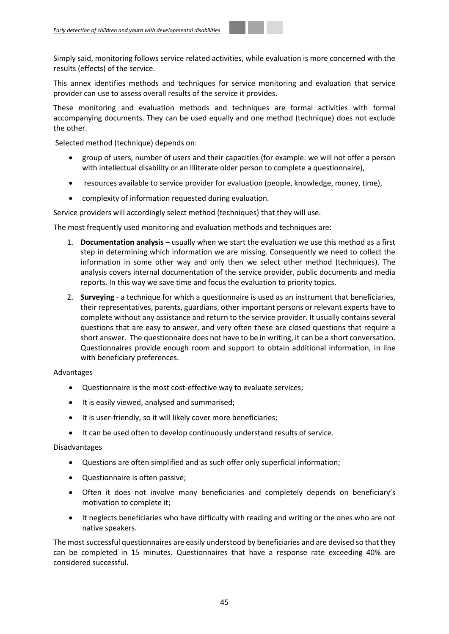Simply said, monitoring follows service related activities, while evaluation is more concerned with the results (effects) of the service.

This annex identifies methods and techniques for service monitoring and evaluation that service provider can use to assess overall results of the service it provides.

These monitoring and evaluation methods and techniques are formal activities with formal accompanying documents. They can be used equally and one method (technique) does not exclude the other.

Selected method (technique) depends on:

- group of users, number of users and their capacities (for example: we will not offer a person with intellectual disability or an illiterate older person to complete a questionnaire),
- resources available to service provider for evaluation (people, knowledge, money, time),
- complexity of information requested during evaluation.

Service providers will accordingly select method (techniques) that they will use.

The most frequently used monitoring and evaluation methods and techniques are:

- 1. **Documentation analysis**  usually when we start the evaluation we use this method as a first step in determining which information we are missing. Consequently we need to collect the information in some other way and only then we select other method (techniques). The analysis covers internal documentation of the service provider, public documents and media reports. In this way we save time and focus the evaluation to priority topics.
- 2. **Surveying** a technique for which a questionnaire is used as an instrument that beneficiaries, their representatives, parents, guardians, other important persons or relevant experts have to complete without any assistance and return to the service provider. It usually contains several questions that are easy to answer, and very often these are closed questions that require a short answer. The questionnaire does not have to be in writing, it can be a short conversation. Questionnaires provide enough room and support to obtain additional information, in line with beneficiary preferences.

## Advantages

- Questionnaire is the most cost-effective way to evaluate services;
- It is easily viewed, analysed and summarised;
- $\bullet$  It is user-friendly, so it will likely cover more beneficiaries;
- It can be used often to develop continuously understand results of service.

## Disadvantages

- Questions are often simplified and as such offer only superficial information;
- Questionnaire is often passive;
- Often it does not involve many beneficiaries and completely depends on beneficiary's motivation to complete it;
- It neglects beneficiaries who have difficulty with reading and writing or the ones who are not native speakers.

The most successful questionnaires are easily understood by beneficiaries and are devised so that they can be completed in 15 minutes. Questionnaires that have a response rate exceeding 40% are considered successful.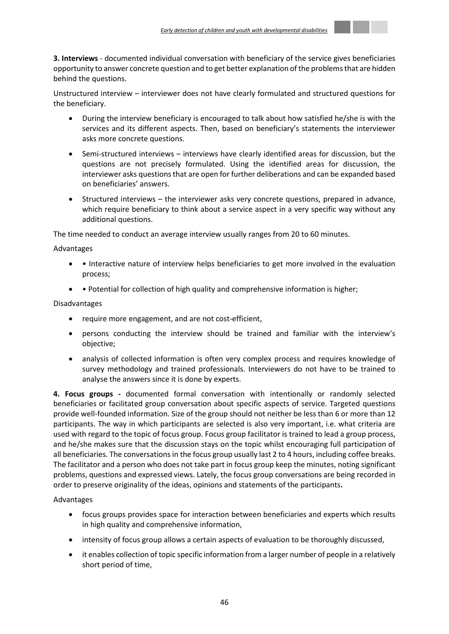**3. Interviews** - documented individual conversation with beneficiary of the service gives beneficiaries opportunity to answer concrete question and to get better explanation of the problems that are hidden behind the questions.

Unstructured interview – interviewer does not have clearly formulated and structured questions for the beneficiary.

- During the interview beneficiary is encouraged to talk about how satisfied he/she is with the services and its different aspects. Then, based on beneficiary's statements the interviewer asks more concrete questions.
- Semi-structured interviews interviews have clearly identified areas for discussion, but the questions are not precisely formulated. Using the identified areas for discussion, the interviewer asks questions that are open for further deliberations and can be expanded based on beneficiaries' answers.
- Structured interviews the interviewer asks very concrete questions, prepared in advance, which require beneficiary to think about a service aspect in a very specific way without any additional questions.

The time needed to conduct an average interview usually ranges from 20 to 60 minutes.

## Advantages

- Interactive nature of interview helps beneficiaries to get more involved in the evaluation process;
- Potential for collection of high quality and comprehensive information is higher;

## Disadvantages

- require more engagement, and are not cost-efficient,
- persons conducting the interview should be trained and familiar with the interview's objective;
- analysis of collected information is often very complex process and requires knowledge of survey methodology and trained professionals. Interviewers do not have to be trained to analyse the answers since it is done by experts.

**4. Focus groups -** documented formal conversation with intentionally or randomly selected beneficiaries or facilitated group conversation about specific aspects of service. Targeted questions provide well-founded information. Size of the group should not neither be less than 6 or more than 12 participants. The way in which participants are selected is also very important, i.e. what criteria are used with regard to the topic of focus group. Focus group facilitator is trained to lead a group process, and he/she makes sure that the discussion stays on the topic whilst encouraging full participation of all beneficiaries. The conversations in the focus group usually last 2 to 4 hours, including coffee breaks. The facilitator and a person who does not take part in focus group keep the minutes, noting significant problems, questions and expressed views. Lately, the focus group conversations are being recorded in order to preserve originality of the ideas, opinions and statements of the participants**.** 

## Advantages

- focus groups provides space for interaction between beneficiaries and experts which results in high quality and comprehensive information,
- intensity of focus group allows a certain aspects of evaluation to be thoroughly discussed,
- it enables collection of topic specific information from a larger number of people in a relatively short period of time,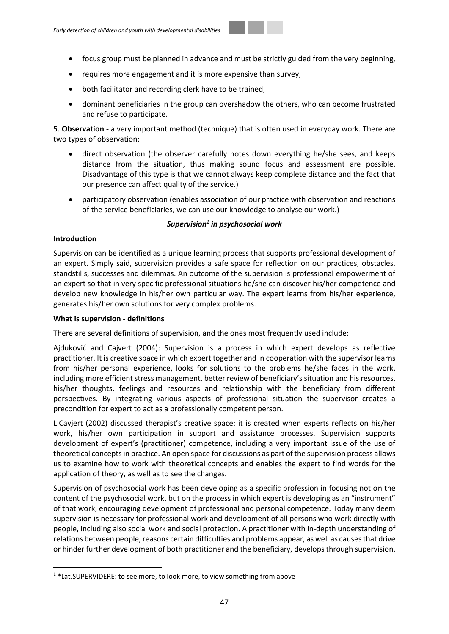- focus group must be planned in advance and must be strictly guided from the very beginning,
- requires more engagement and it is more expensive than survey,
- both facilitator and recording clerk have to be trained,
- dominant beneficiaries in the group can overshadow the others, who can become frustrated and refuse to participate.

5. **Observation -** a very important method (technique) that is often used in everyday work. There are two types of observation:

- direct observation (the observer carefully notes down everything he/she sees, and keeps distance from the situation, thus making sound focus and assessment are possible. Disadvantage of this type is that we cannot always keep complete distance and the fact that our presence can affect quality of the service.)
- participatory observation (enables association of our practice with observation and reactions of the service beneficiaries, we can use our knowledge to analyse our work.)

## *Supervision<sup>1</sup> in psychosocial work*

## **Introduction**

**.** 

Supervision can be identified as a unique learning process that supports professional development of an expert. Simply said, supervision provides a safe space for reflection on our practices, obstacles, standstills, successes and dilemmas. An outcome of the supervision is professional empowerment of an expert so that in very specific professional situations he/she can discover his/her competence and develop new knowledge in his/her own particular way. The expert learns from his/her experience, generates his/her own solutions for very complex problems.

## **What is supervision - definitions**

There are several definitions of supervision, and the ones most frequently used include:

Ajduković and Cajvert (2004): Supervision is a process in which expert develops as reflective practitioner. It is creative space in which expert together and in cooperation with the supervisor learns from his/her personal experience, looks for solutions to the problems he/she faces in the work, including more efficient stress management, better review of beneficiary's situation and his resources, his/her thoughts, feelings and resources and relationship with the beneficiary from different perspectives. By integrating various aspects of professional situation the supervisor creates a precondition for expert to act as a professionally competent person.

L.Cavjert (2002) discussed therapist's creative space: it is created when experts reflects on his/her work, his/her own participation in support and assistance processes. Supervision supports development of expert's (practitioner) competence, including a very important issue of the use of theoretical concepts in practice. An open space for discussions as part of the supervision process allows us to examine how to work with theoretical concepts and enables the expert to find words for the application of theory, as well as to see the changes.

Supervision of psychosocial work has been developing as a specific profession in focusing not on the content of the psychosocial work, but on the process in which expert is developing as an "instrument" of that work, encouraging development of professional and personal competence. Today many deem supervision is necessary for professional work and development of all persons who work directly with people, including also social work and social protection. A practitioner with in-depth understanding of relations between people, reasons certain difficulties and problems appear, as well as causes that drive or hinder further development of both practitioner and the beneficiary, develops through supervision.

<sup>&</sup>lt;sup>1</sup>\*Lat.SUPERVIDERE: to see more, to look more, to view something from above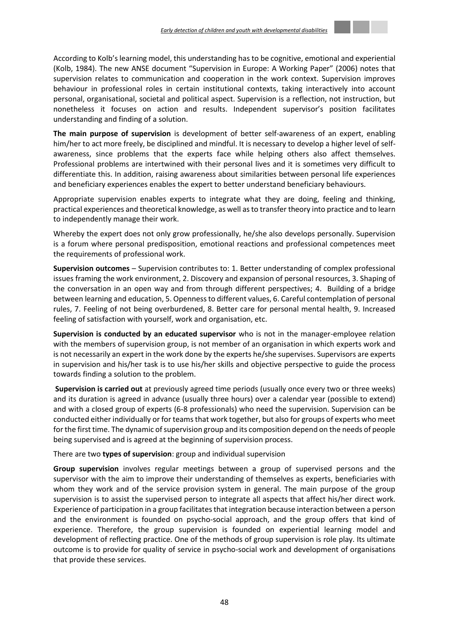According to Kolb's learning model, this understanding has to be cognitive, emotional and experiential (Kolb, 1984). The new ANSE document "Supervision in Europe: A Working Paper" (2006) notes that supervision relates to communication and cooperation in the work context. Supervision improves behaviour in professional roles in certain institutional contexts, taking interactively into account personal, organisational, societal and political aspect. Supervision is a reflection, not instruction, but nonetheless it focuses on action and results. Independent supervisor's position facilitates understanding and finding of a solution.

**The main purpose of supervision** is development of better self-awareness of an expert, enabling him/her to act more freely, be disciplined and mindful. It is necessary to develop a higher level of selfawareness, since problems that the experts face while helping others also affect themselves. Professional problems are intertwined with their personal lives and it is sometimes very difficult to differentiate this. In addition, raising awareness about similarities between personal life experiences and beneficiary experiences enables the expert to better understand beneficiary behaviours.

Appropriate supervision enables experts to integrate what they are doing, feeling and thinking, practical experiences and theoretical knowledge, as well as to transfer theory into practice and to learn to independently manage their work.

Whereby the expert does not only grow professionally, he/she also develops personally. Supervision is a forum where personal predisposition, emotional reactions and professional competences meet the requirements of professional work.

**Supervision outcomes** – Supervision contributes to: 1. Better understanding of complex professional issues framing the work environment, 2. Discovery and expansion of personal resources, 3. Shaping of the conversation in an open way and from through different perspectives; 4. Building of a bridge between learning and education, 5. Openness to different values, 6. Careful contemplation of personal rules, 7. Feeling of not being overburdened, 8. Better care for personal mental health, 9. Increased feeling of satisfaction with yourself, work and organisation, etc.

**Supervision is conducted by an educated supervisor** who is not in the manager-employee relation with the members of supervision group, is not member of an organisation in which experts work and is not necessarily an expert in the work done by the experts he/she supervises. Supervisors are experts in supervision and his/her task is to use his/her skills and objective perspective to guide the process towards finding a solution to the problem.

**Supervision is carried out** at previously agreed time periods (usually once every two or three weeks) and its duration is agreed in advance (usually three hours) over a calendar year (possible to extend) and with a closed group of experts (6-8 professionals) who need the supervision. Supervision can be conducted either individually or for teams that work together, but also for groups of experts who meet for the first time. The dynamic of supervision group and its composition depend on the needs of people being supervised and is agreed at the beginning of supervision process.

There are two **types of supervision**: group and individual supervision

**Group supervision** involves regular meetings between a group of supervised persons and the supervisor with the aim to improve their understanding of themselves as experts, beneficiaries with whom they work and of the service provision system in general. The main purpose of the group supervision is to assist the supervised person to integrate all aspects that affect his/her direct work. Experience of participation in a group facilitates that integration because interaction between a person and the environment is founded on psycho-social approach, and the group offers that kind of experience. Therefore, the group supervision is founded on experiential learning model and development of reflecting practice. One of the methods of group supervision is role play. Its ultimate outcome is to provide for quality of service in psycho-social work and development of organisations that provide these services.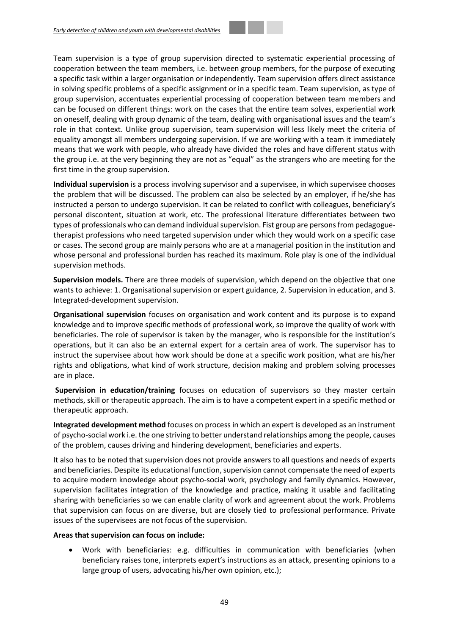first time in the group supervision.

Team supervision is a type of group supervision directed to systematic experiential processing of cooperation between the team members, i.e. between group members, for the purpose of executing a specific task within a larger organisation or independently. Team supervision offers direct assistance in solving specific problems of a specific assignment or in a specific team. Team supervision, as type of group supervision, accentuates experiential processing of cooperation between team members and can be focused on different things: work on the cases that the entire team solves, experiential work on oneself, dealing with group dynamic of the team, dealing with organisational issues and the team's role in that context. Unlike group supervision, team supervision will less likely meet the criteria of equality amongst all members undergoing supervision. If we are working with a team it immediately means that we work with people, who already have divided the roles and have different status with

**Individual supervision** is a process involving supervisor and a supervisee, in which supervisee chooses the problem that will be discussed. The problem can also be selected by an employer, if he/she has instructed a person to undergo supervision. It can be related to conflict with colleagues, beneficiary's personal discontent, situation at work, etc. The professional literature differentiates between two types of professionals who can demand individual supervision. Fist group are persons from pedagoguetherapist professions who need targeted supervision under which they would work on a specific case or cases. The second group are mainly persons who are at a managerial position in the institution and whose personal and professional burden has reached its maximum. Role play is one of the individual supervision methods.

the group i.e. at the very beginning they are not as "equal" as the strangers who are meeting for the

**Supervision models.** There are three models of supervision, which depend on the objective that one wants to achieve: 1. Organisational supervision or expert guidance, 2. Supervision in education, and 3. Integrated-development supervision.

**Organisational supervision** focuses on organisation and work content and its purpose is to expand knowledge and to improve specific methods of professional work, so improve the quality of work with beneficiaries. The role of supervisor is taken by the manager, who is responsible for the institution's operations, but it can also be an external expert for a certain area of work. The supervisor has to instruct the supervisee about how work should be done at a specific work position, what are his/her rights and obligations, what kind of work structure, decision making and problem solving processes are in place.

**Supervision in education/training** focuses on education of supervisors so they master certain methods, skill or therapeutic approach. The aim is to have a competent expert in a specific method or therapeutic approach.

**Integrated development method** focuses on process in which an expert is developed as an instrument of psycho-social work i.e. the one striving to better understand relationships among the people, causes of the problem, causes driving and hindering development, beneficiaries and experts.

It also has to be noted that supervision does not provide answers to all questions and needs of experts and beneficiaries. Despite its educational function, supervision cannot compensate the need of experts to acquire modern knowledge about psycho-social work, psychology and family dynamics. However, supervision facilitates integration of the knowledge and practice, making it usable and facilitating sharing with beneficiaries so we can enable clarity of work and agreement about the work. Problems that supervision can focus on are diverse, but are closely tied to professional performance. Private issues of the supervisees are not focus of the supervision.

## **Areas that supervision can focus on include:**

 Work with beneficiaries: e.g. difficulties in communication with beneficiaries (when beneficiary raises tone, interprets expert's instructions as an attack, presenting opinions to a large group of users, advocating his/her own opinion, etc.);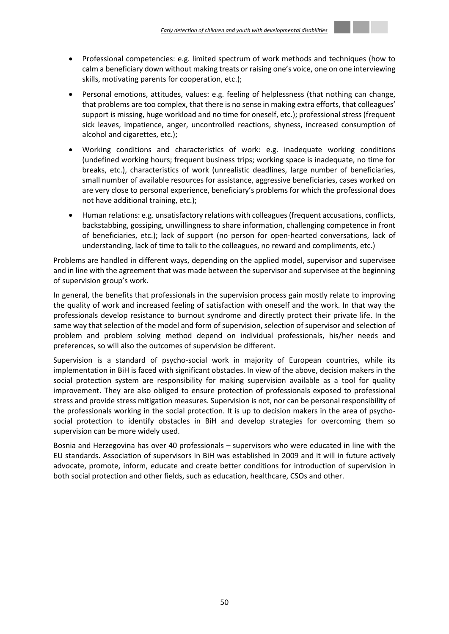- Professional competencies: e.g. limited spectrum of work methods and techniques (how to calm a beneficiary down without making treats or raising one's voice, one on one interviewing skills, motivating parents for cooperation, etc.);
- Personal emotions, attitudes, values: e.g. feeling of helplessness (that nothing can change, that problems are too complex, that there is no sense in making extra efforts, that colleagues' support is missing, huge workload and no time for oneself, etc.); professional stress (frequent sick leaves, impatience, anger, uncontrolled reactions, shyness, increased consumption of alcohol and cigarettes, etc.);
- Working conditions and characteristics of work: e.g. inadequate working conditions (undefined working hours; frequent business trips; working space is inadequate, no time for breaks, etc.), characteristics of work (unrealistic deadlines, large number of beneficiaries, small number of available resources for assistance, aggressive beneficiaries, cases worked on are very close to personal experience, beneficiary's problems for which the professional does not have additional training, etc.);
- Human relations: e.g. unsatisfactory relations with colleagues (frequent accusations, conflicts, backstabbing, gossiping, unwillingness to share information, challenging competence in front of beneficiaries, etc.); lack of support (no person for open-hearted conversations, lack of understanding, lack of time to talk to the colleagues, no reward and compliments, etc.)

Problems are handled in different ways, depending on the applied model, supervisor and supervisee and in line with the agreement that was made between the supervisor and supervisee at the beginning of supervision group's work.

In general, the benefits that professionals in the supervision process gain mostly relate to improving the quality of work and increased feeling of satisfaction with oneself and the work. In that way the professionals develop resistance to burnout syndrome and directly protect their private life. In the same way that selection of the model and form of supervision, selection of supervisor and selection of problem and problem solving method depend on individual professionals, his/her needs and preferences, so will also the outcomes of supervision be different.

Supervision is a standard of psycho-social work in majority of European countries, while its implementation in BiH is faced with significant obstacles. In view of the above, decision makers in the social protection system are responsibility for making supervision available as a tool for quality improvement. They are also obliged to ensure protection of professionals exposed to professional stress and provide stress mitigation measures. Supervision is not, nor can be personal responsibility of the professionals working in the social protection. It is up to decision makers in the area of psychosocial protection to identify obstacles in BiH and develop strategies for overcoming them so supervision can be more widely used.

Bosnia and Herzegovina has over 40 professionals – supervisors who were educated in line with the EU standards. Association of supervisors in BiH was established in 2009 and it will in future actively advocate, promote, inform, educate and create better conditions for introduction of supervision in both social protection and other fields, such as education, healthcare, CSOs and other.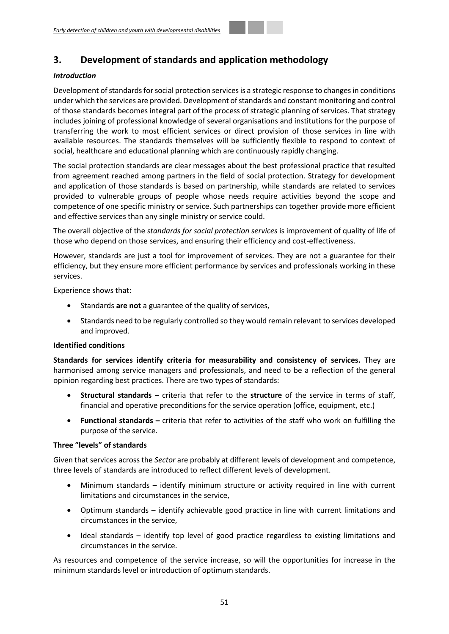# <span id="page-50-0"></span>**3. Development of standards and application methodology**

## *Introduction*

Development of standards for social protection services is a strategic response to changes in conditions under which the services are provided. Development of standards and constant monitoring and control of those standards becomes integral part of the process of strategic planning of services. That strategy includes joining of professional knowledge of several organisations and institutions for the purpose of transferring the work to most efficient services or direct provision of those services in line with available resources. The standards themselves will be sufficiently flexible to respond to context of social, healthcare and educational planning which are continuously rapidly changing.

The social protection standards are clear messages about the best professional practice that resulted from agreement reached among partners in the field of social protection. Strategy for development and application of those standards is based on partnership, while standards are related to services provided to vulnerable groups of people whose needs require activities beyond the scope and competence of one specific ministry or service. Such partnerships can together provide more efficient and effective services than any single ministry or service could.

The overall objective of the *standards for social protection services* is improvement of quality of life of those who depend on those services, and ensuring their efficiency and cost-effectiveness.

However, standards are just a tool for improvement of services. They are not a guarantee for their efficiency, but they ensure more efficient performance by services and professionals working in these services.

Experience shows that:

- Standards **are not** a guarantee of the quality of services,
- Standards need to be regularly controlled so they would remain relevant to services developed and improved.

## **Identified conditions**

**Standards for services identify criteria for measurability and consistency of services.** They are harmonised among service managers and professionals, and need to be a reflection of the general opinion regarding best practices. There are two types of standards:

- **Structural standards –** criteria that refer to the **structure** of the service in terms of staff, financial and operative preconditions for the service operation (office, equipment, etc.)
- **Functional standards –** criteria that refer to activities of the staff who work on fulfilling the purpose of the service.

## **Three "levels" of standards**

Given that services across the *Sector* are probably at different levels of development and competence, three levels of standards are introduced to reflect different levels of development.

- Minimum standards identify minimum structure or activity required in line with current limitations and circumstances in the service,
- Optimum standards identify achievable good practice in line with current limitations and circumstances in the service,
- Ideal standards identify top level of good practice regardless to existing limitations and circumstances in the service.

As resources and competence of the service increase, so will the opportunities for increase in the minimum standards level or introduction of optimum standards.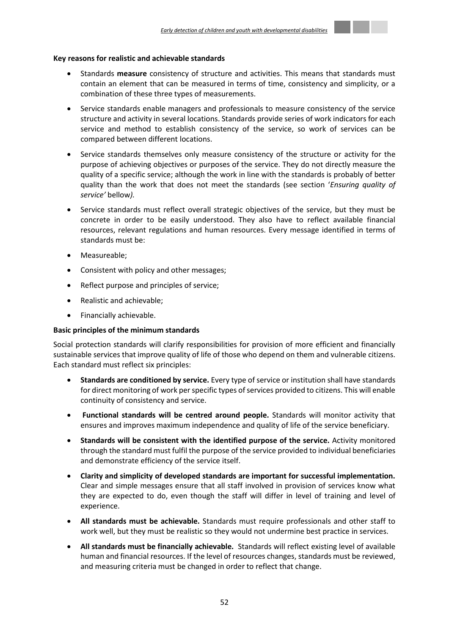#### **Key reasons for realistic and achievable standards**

- Standards **measure** consistency of structure and activities. This means that standards must contain an element that can be measured in terms of time, consistency and simplicity, or a combination of these three types of measurements.
- Service standards enable managers and professionals to measure consistency of the service structure and activity in several locations. Standards provide series of work indicators for each service and method to establish consistency of the service, so work of services can be compared between different locations.
- Service standards themselves only measure consistency of the structure or activity for the purpose of achieving objectives or purposes of the service. They do not directly measure the quality of a specific service; although the work in line with the standards is probably of better quality than the work that does not meet the standards (see section '*Ensuring quality of service'* bellow*).*
- Service standards must reflect overall strategic objectives of the service, but they must be concrete in order to be easily understood. They also have to reflect available financial resources, relevant regulations and human resources. Every message identified in terms of standards must be:
- Measureable;
- Consistent with policy and other messages:
- Reflect purpose and principles of service;
- Realistic and achievable;
- Financially achievable.

## **Basic principles of the minimum standards**

Social protection standards will clarify responsibilities for provision of more efficient and financially sustainable services that improve quality of life of those who depend on them and vulnerable citizens. Each standard must reflect six principles:

- **Standards are conditioned by service.** Every type of service or institution shall have standards for direct monitoring of work per specific types of services provided to citizens. This will enable continuity of consistency and service.
- **Functional standards will be centred around people.** Standards will monitor activity that ensures and improves maximum independence and quality of life of the service beneficiary.
- **Standards will be consistent with the identified purpose of the service.** Activity monitored through the standard must fulfil the purpose of the service provided to individual beneficiaries and demonstrate efficiency of the service itself.
- **Clarity and simplicity of developed standards are important for successful implementation.**  Clear and simple messages ensure that all staff involved in provision of services know what they are expected to do, even though the staff will differ in level of training and level of experience.
- **All standards must be achievable.** Standards must require professionals and other staff to work well, but they must be realistic so they would not undermine best practice in services.
- **All standards must be financially achievable.** Standards will reflect existing level of available human and financial resources. If the level of resources changes, standards must be reviewed, and measuring criteria must be changed in order to reflect that change.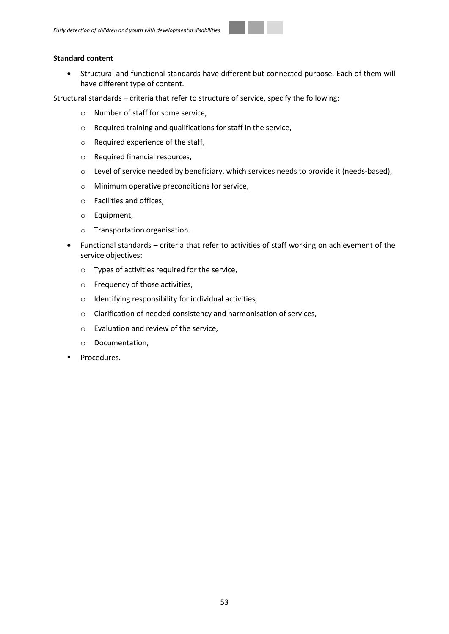## **Standard content**

 Structural and functional standards have different but connected purpose. Each of them will have different type of content.

Structural standards – criteria that refer to structure of service, specify the following:

- o Number of staff for some service,
- o Required training and qualifications for staff in the service,
- o Required experience of the staff,
- o Required financial resources,
- o Level of service needed by beneficiary, which services needs to provide it (needs-based),
- o Minimum operative preconditions for service,
- o Facilities and offices,
- o Equipment,
- o Transportation organisation.
- Functional standards criteria that refer to activities of staff working on achievement of the service objectives:
	- o Types of activities required for the service,
	- o Frequency of those activities,
	- o Identifying responsibility for individual activities,
	- o Clarification of needed consistency and harmonisation of services,
	- o Evaluation and review of the service,
	- o Documentation,
- Procedures.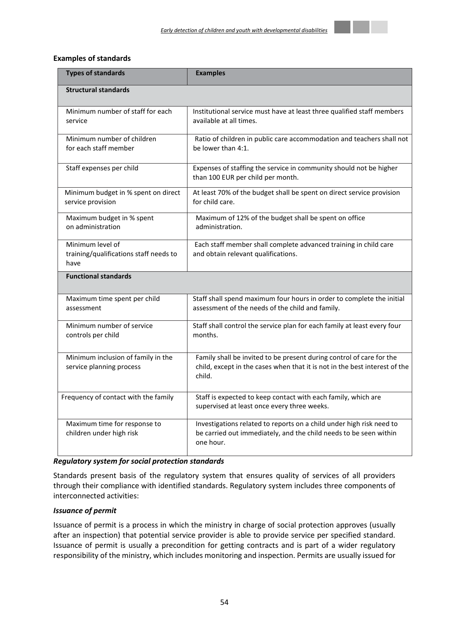

## **Examples of standards**

| <b>Types of standards</b>                                          | <b>Examples</b>                                                                                                                                              |
|--------------------------------------------------------------------|--------------------------------------------------------------------------------------------------------------------------------------------------------------|
| <b>Structural standards</b>                                        |                                                                                                                                                              |
| Minimum number of staff for each<br>service                        | Institutional service must have at least three qualified staff members<br>available at all times.                                                            |
| Minimum number of children<br>for each staff member                | Ratio of children in public care accommodation and teachers shall not<br>be lower than 4:1.                                                                  |
| Staff expenses per child                                           | Expenses of staffing the service in community should not be higher<br>than 100 EUR per child per month.                                                      |
| Minimum budget in % spent on direct<br>service provision           | At least 70% of the budget shall be spent on direct service provision<br>for child care.                                                                     |
| Maximum budget in % spent<br>on administration                     | Maximum of 12% of the budget shall be spent on office<br>administration.                                                                                     |
| Minimum level of<br>training/qualifications staff needs to<br>have | Each staff member shall complete advanced training in child care<br>and obtain relevant qualifications.                                                      |
| <b>Functional standards</b>                                        |                                                                                                                                                              |
| Maximum time spent per child<br>assessment                         | Staff shall spend maximum four hours in order to complete the initial<br>assessment of the needs of the child and family.                                    |
| Minimum number of service<br>controls per child                    | Staff shall control the service plan for each family at least every four<br>months.                                                                          |
| Minimum inclusion of family in the<br>service planning process     | Family shall be invited to be present during control of care for the<br>child, except in the cases when that it is not in the best interest of the<br>child. |
| Frequency of contact with the family                               | Staff is expected to keep contact with each family, which are<br>supervised at least once every three weeks.                                                 |
| Maximum time for response to<br>children under high risk           | Investigations related to reports on a child under high risk need to<br>be carried out immediately, and the child needs to be seen within<br>one hour.       |

## *Regulatory system for social protection standards*

Standards present basis of the regulatory system that ensures quality of services of all providers through their compliance with identified standards. Regulatory system includes three components of interconnected activities:

## *Issuance of permit*

Issuance of permit is a process in which the ministry in charge of social protection approves (usually after an inspection) that potential service provider is able to provide service per specified standard. Issuance of permit is usually a precondition for getting contracts and is part of a wider regulatory responsibility of the ministry, which includes monitoring and inspection. Permits are usually issued for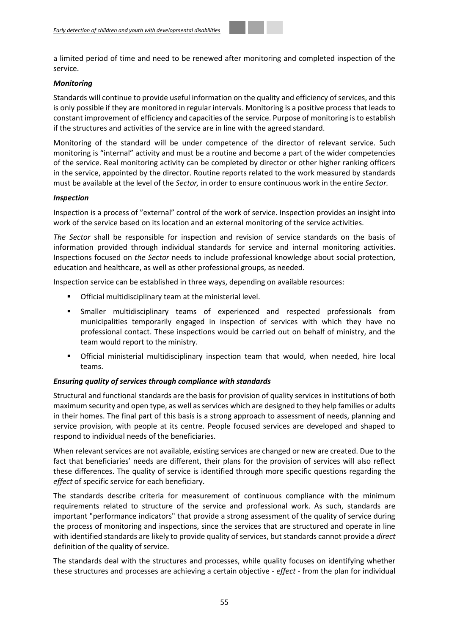a limited period of time and need to be renewed after monitoring and completed inspection of the service.

#### *Monitoring*

Standards will continue to provide useful information on the quality and efficiency of services, and this is only possible if they are monitored in regular intervals. Monitoring is a positive process that leads to constant improvement of efficiency and capacities of the service. Purpose of monitoring is to establish if the structures and activities of the service are in line with the agreed standard.

Monitoring of the standard will be under competence of the director of relevant service. Such monitoring is "internal" activity and must be a routine and become a part of the wider competencies of the service. Real monitoring activity can be completed by director or other higher ranking officers in the service, appointed by the director. Routine reports related to the work measured by standards must be available at the level of the *Sector,* in order to ensure continuous work in the entire *Sector.*

#### *Inspection*

Inspection is a process of "external" control of the work of service. Inspection provides an insight into work of the service based on its location and an external monitoring of the service activities.

*The Sector* shall be responsible for inspection and revision of service standards on the basis of information provided through individual standards for service and internal monitoring activities. Inspections focused on *the Sector* needs to include professional knowledge about social protection, education and healthcare, as well as other professional groups, as needed.

Inspection service can be established in three ways, depending on available resources:

- Official multidisciplinary team at the ministerial level.
- Smaller multidisciplinary teams of experienced and respected professionals from municipalities temporarily engaged in inspection of services with which they have no professional contact. These inspections would be carried out on behalf of ministry, and the team would report to the ministry.
- Official ministerial multidisciplinary inspection team that would, when needed, hire local teams.

## *Ensuring quality of services through compliance with standards*

Structural and functional standards are the basis for provision of quality services in institutions of both maximum security and open type, as well as services which are designed to they help families or adults in their homes. The final part of this basis is a strong approach to assessment of needs, planning and service provision, with people at its centre. People focused services are developed and shaped to respond to individual needs of the beneficiaries.

When relevant services are not available, existing services are changed or new are created. Due to the fact that beneficiaries' needs are different, their plans for the provision of services will also reflect these differences. The quality of service is identified through more specific questions regarding the *effect* of specific service for each beneficiary.

The standards describe criteria for measurement of continuous compliance with the minimum requirements related to structure of the service and professional work. As such, standards are important "performance indicators" that provide a strong assessment of the quality of service during the process of monitoring and inspections, since the services that are structured and operate in line with identified standards are likely to provide quality of services, but standards cannot provide a *direct* definition of the quality of service.

The standards deal with the structures and processes, while quality focuses on identifying whether these structures and processes are achieving a certain objective - *effect* - from the plan for individual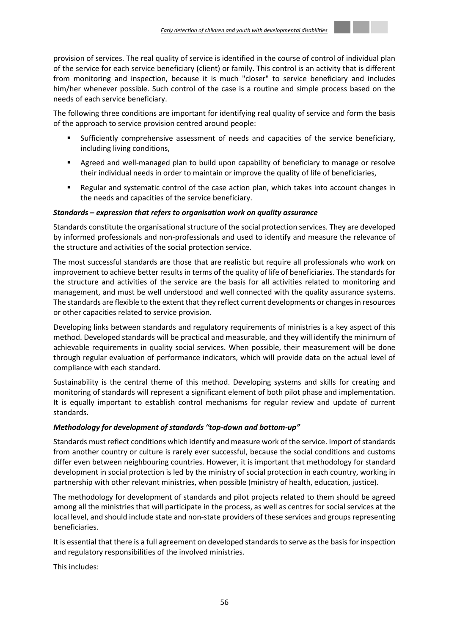

The following three conditions are important for identifying real quality of service and form the basis of the approach to service provision centred around people:

- Sufficiently comprehensive assessment of needs and capacities of the service beneficiary, including living conditions,
- Agreed and well-managed plan to build upon capability of beneficiary to manage or resolve their individual needs in order to maintain or improve the quality of life of beneficiaries,
- Regular and systematic control of the case action plan, which takes into account changes in the needs and capacities of the service beneficiary.

## *Standards – expression that refers to organisation work on quality assurance*

Standards constitute the organisational structure of the social protection services. They are developed by informed professionals and non-professionals and used to identify and measure the relevance of the structure and activities of the social protection service.

The most successful standards are those that are realistic but require all professionals who work on improvement to achieve better results in terms of the quality of life of beneficiaries. The standards for the structure and activities of the service are the basis for all activities related to monitoring and management, and must be well understood and well connected with the quality assurance systems. The standards are flexible to the extent that they reflect current developments or changes in resources or other capacities related to service provision.

Developing links between standards and regulatory requirements of ministries is a key aspect of this method. Developed standards will be practical and measurable, and they will identify the minimum of achievable requirements in quality social services. When possible, their measurement will be done through regular evaluation of performance indicators, which will provide data on the actual level of compliance with each standard.

Sustainability is the central theme of this method. Developing systems and skills for creating and monitoring of standards will represent a significant element of both pilot phase and implementation. It is equally important to establish control mechanisms for regular review and update of current standards.

## *Methodology for development of standards "top-down and bottom-up"*

Standards must reflect conditions which identify and measure work of the service. Import of standards from another country or culture is rarely ever successful, because the social conditions and customs differ even between neighbouring countries. However, it is important that methodology for standard development in social protection is led by the ministry of social protection in each country, working in partnership with other relevant ministries, when possible (ministry of health, education, justice).

The methodology for development of standards and pilot projects related to them should be agreed among all the ministries that will participate in the process, as well as centres for social services at the local level, and should include state and non-state providers of these services and groups representing beneficiaries.

It is essential that there is a full agreement on developed standards to serve as the basis for inspection and regulatory responsibilities of the involved ministries.

This includes: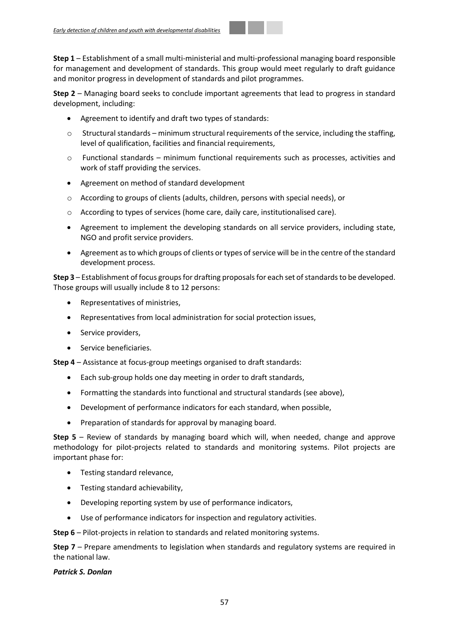**Step 1** – Establishment of a small multi-ministerial and multi-professional managing board responsible for management and development of standards. This group would meet regularly to draft guidance and monitor progress in development of standards and pilot programmes.

**Step 2** – Managing board seeks to conclude important agreements that lead to progress in standard development, including:

- Agreement to identify and draft two types of standards:
- $\circ$  Structural standards minimum structural requirements of the service, including the staffing, level of qualification, facilities and financial requirements,
- $\circ$  Functional standards minimum functional requirements such as processes, activities and work of staff providing the services.
- Agreement on method of standard development
- o According to groups of clients (adults, children, persons with special needs), or
- o According to types of services (home care, daily care, institutionalised care).
- Agreement to implement the developing standards on all service providers, including state, NGO and profit service providers.
- Agreement as to which groups of clients or types of service will be in the centre of the standard development process.

**Step 3** – Establishment of focus groups for drafting proposals for each set of standards to be developed. Those groups will usually include 8 to 12 persons:

- Representatives of ministries,
- Representatives from local administration for social protection issues,
- Service providers,
- Service beneficiaries.

**Step 4** – Assistance at focus-group meetings organised to draft standards:

- Each sub-group holds one day meeting in order to draft standards,
- Formatting the standards into functional and structural standards (see above),
- Development of performance indicators for each standard, when possible,
- Preparation of standards for approval by managing board.

**Step 5** – Review of standards by managing board which will, when needed, change and approve methodology for pilot-projects related to standards and monitoring systems. Pilot projects are important phase for:

- Testing standard relevance,
- Testing standard achievability,
- Developing reporting system by use of performance indicators,
- Use of performance indicators for inspection and regulatory activities.

**Step 6** – Pilot-projects in relation to standards and related monitoring systems.

**Step 7** – Prepare amendments to legislation when standards and regulatory systems are required in the national law.

## *Patrick S. Donlan*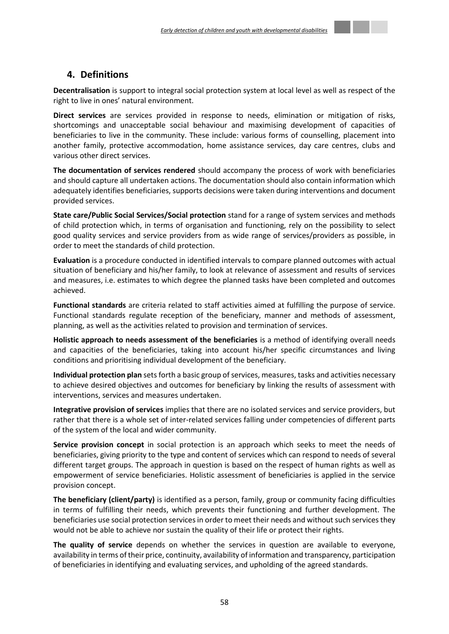## <span id="page-57-0"></span>**4. Definitions**

**Decentralisation** is support to integral social protection system at local level as well as respect of the right to live in ones' natural environment.

**Direct services** are services provided in response to needs, elimination or mitigation of risks, shortcomings and unacceptable social behaviour and maximising development of capacities of beneficiaries to live in the community. These include: various forms of counselling, placement into another family, protective accommodation, home assistance services, day care centres, clubs and various other direct services.

**The documentation of services rendered** should accompany the process of work with beneficiaries and should capture all undertaken actions. The documentation should also contain information which adequately identifies beneficiaries, supports decisions were taken during interventions and document provided services.

**State care/Public Social Services/Social protection** stand for a range of system services and methods of child protection which, in terms of organisation and functioning, rely on the possibility to select good quality services and service providers from as wide range of services/providers as possible, in order to meet the standards of child protection.

**Evaluation** is a procedure conducted in identified intervals to compare planned outcomes with actual situation of beneficiary and his/her family, to look at relevance of assessment and results of services and measures, i.e. estimates to which degree the planned tasks have been completed and outcomes achieved.

**Functional standards** are criteria related to staff activities aimed at fulfilling the purpose of service. Functional standards regulate reception of the beneficiary, manner and methods of assessment, planning, as well as the activities related to provision and termination of services.

**Holistic approach to needs assessment of the beneficiaries** is a method of identifying overall needs and capacities of the beneficiaries, taking into account his/her specific circumstances and living conditions and prioritising individual development of the beneficiary.

**Individual protection plan** sets forth a basic group of services, measures, tasks and activities necessary to achieve desired objectives and outcomes for beneficiary by linking the results of assessment with interventions, services and measures undertaken.

**Integrative provision of services** implies that there are no isolated services and service providers, but rather that there is a whole set of inter-related services falling under competencies of different parts of the system of the local and wider community.

**Service provision concept** in social protection is an approach which seeks to meet the needs of beneficiaries, giving priority to the type and content of services which can respond to needs of several different target groups. The approach in question is based on the respect of human rights as well as empowerment of service beneficiaries. Holistic assessment of beneficiaries is applied in the service provision concept.

**The beneficiary (client/party)** is identified as a person, family, group or community facing difficulties in terms of fulfilling their needs, which prevents their functioning and further development. The beneficiaries use social protection services in order to meet their needs and without such services they would not be able to achieve nor sustain the quality of their life or protect their rights.

**The quality of service** depends on whether the services in question are available to everyone, availability in terms of their price, continuity, availability of information and transparency, participation of beneficiaries in identifying and evaluating services, and upholding of the agreed standards.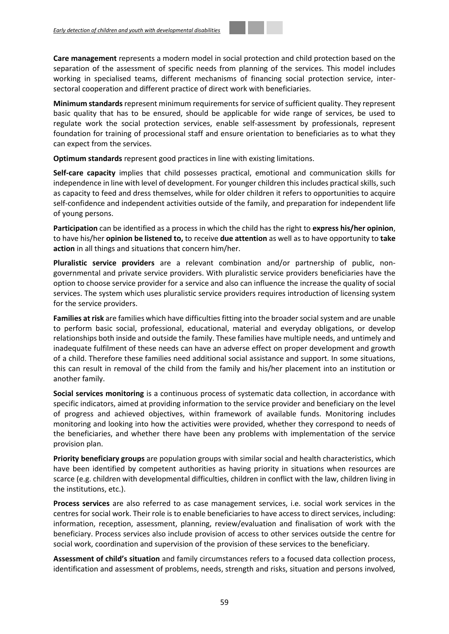**Care management** represents a modern model in social protection and child protection based on the separation of the assessment of specific needs from planning of the services. This model includes working in specialised teams, different mechanisms of financing social protection service, intersectoral cooperation and different practice of direct work with beneficiaries.

**Minimum standards** represent minimum requirements for service of sufficient quality. They represent basic quality that has to be ensured, should be applicable for wide range of services, be used to regulate work the social protection services, enable self-assessment by professionals, represent foundation for training of processional staff and ensure orientation to beneficiaries as to what they can expect from the services.

**Optimum standards** represent good practices in line with existing limitations.

**Self-care capacity** implies that child possesses practical, emotional and communication skills for independence in line with level of development. For younger children this includes practical skills, such as capacity to feed and dress themselves, while for older children it refers to opportunities to acquire self-confidence and independent activities outside of the family, and preparation for independent life of young persons.

**Participation** can be identified as a process in which the child has the right to **express his/her opinion**, to have his/her **opinion be listened to,** to receive **due attention** as well as to have opportunity to **take action** in all things and situations that concern him/her.

**Pluralistic service providers** are a relevant combination and/or partnership of public, nongovernmental and private service providers. With pluralistic service providers beneficiaries have the option to choose service provider for a service and also can influence the increase the quality of social services. The system which uses pluralistic service providers requires introduction of licensing system for the service providers.

**Families at risk** are families which have difficulties fitting into the broader social system and are unable to perform basic social, professional, educational, material and everyday obligations, or develop relationships both inside and outside the family. These families have multiple needs, and untimely and inadequate fulfilment of these needs can have an adverse effect on proper development and growth of a child. Therefore these families need additional social assistance and support. In some situations, this can result in removal of the child from the family and his/her placement into an institution or another family.

**Social services monitoring** is a continuous process of systematic data collection, in accordance with specific indicators, aimed at providing information to the service provider and beneficiary on the level of progress and achieved objectives, within framework of available funds. Monitoring includes monitoring and looking into how the activities were provided, whether they correspond to needs of the beneficiaries, and whether there have been any problems with implementation of the service provision plan.

**Priority beneficiary groups** are population groups with similar social and health characteristics, which have been identified by competent authorities as having priority in situations when resources are scarce (e.g. children with developmental difficulties, children in conflict with the law, children living in the institutions, etc.).

**Process services** are also referred to as case management services, i.e. social work services in the centres for social work. Their role is to enable beneficiaries to have access to direct services, including: information, reception, assessment, planning, review/evaluation and finalisation of work with the beneficiary. Process services also include provision of access to other services outside the centre for social work, coordination and supervision of the provision of these services to the beneficiary.

**Assessment of child's situation** and family circumstances refers to a focused data collection process, identification and assessment of problems, needs, strength and risks, situation and persons involved,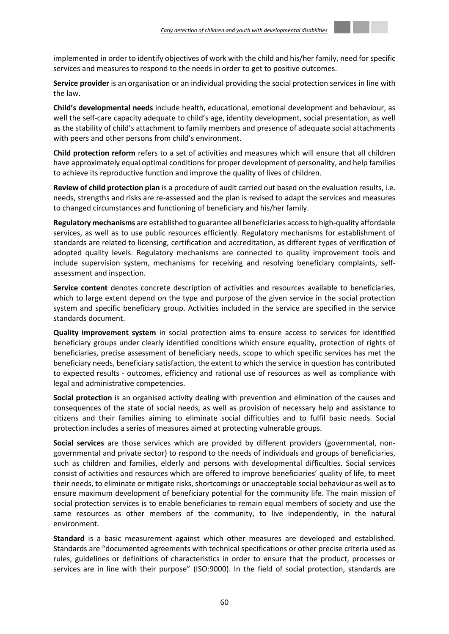

**Service provider** is an organisation or an individual providing the social protection services in line with the law.

**Child's developmental needs** include health, educational, emotional development and behaviour, as well the self-care capacity adequate to child's age, identity development, social presentation, as well as the stability of child's attachment to family members and presence of adequate social attachments with peers and other persons from child's environment.

**Child protection reform** refers to a set of activities and measures which will ensure that all children have approximately equal optimal conditions for proper development of personality, and help families to achieve its reproductive function and improve the quality of lives of children.

**Review of child protection plan** is a procedure of audit carried out based on the evaluation results, i.e. needs, strengths and risks are re-assessed and the plan is revised to adapt the services and measures to changed circumstances and functioning of beneficiary and his/her family.

**Regulatory mechanisms** are established to guarantee all beneficiaries access to high-quality affordable services, as well as to use public resources efficiently. Regulatory mechanisms for establishment of standards are related to licensing, certification and accreditation, as different types of verification of adopted quality levels. Regulatory mechanisms are connected to quality improvement tools and include supervision system, mechanisms for receiving and resolving beneficiary complaints, selfassessment and inspection.

**Service content** denotes concrete description of activities and resources available to beneficiaries, which to large extent depend on the type and purpose of the given service in the social protection system and specific beneficiary group. Activities included in the service are specified in the service standards document.

**Quality improvement system** in social protection aims to ensure access to services for identified beneficiary groups under clearly identified conditions which ensure equality, protection of rights of beneficiaries, precise assessment of beneficiary needs, scope to which specific services has met the beneficiary needs, beneficiary satisfaction, the extent to which the service in question has contributed to expected results - outcomes, efficiency and rational use of resources as well as compliance with legal and administrative competencies.

**Social protection** is an organised activity dealing with prevention and elimination of the causes and consequences of the state of social needs, as well as provision of necessary help and assistance to citizens and their families aiming to eliminate social difficulties and to fulfil basic needs. Social protection includes a series of measures aimed at protecting vulnerable groups.

**Social services** are those services which are provided by different providers (governmental, nongovernmental and private sector) to respond to the needs of individuals and groups of beneficiaries, such as children and families, elderly and persons with developmental difficulties. Social services consist of activities and resources which are offered to improve beneficiaries' quality of life, to meet their needs, to eliminate or mitigate risks, shortcomings or unacceptable social behaviour as well as to ensure maximum development of beneficiary potential for the community life. The main mission of social protection services is to enable beneficiaries to remain equal members of society and use the same resources as other members of the community, to live independently, in the natural environment.

**Standard** is a basic measurement against which other measures are developed and established. Standards are "documented agreements with technical specifications or other precise criteria used as rules, guidelines or definitions of characteristics in order to ensure that the product, processes or services are in line with their purpose" (ISO:9000). In the field of social protection, standards are